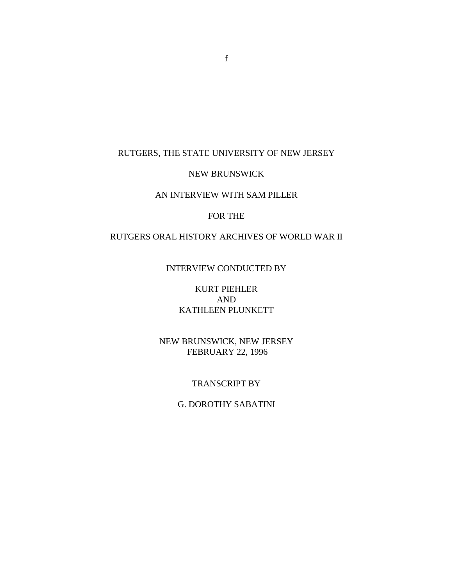#### RUTGERS, THE STATE UNIVERSITY OF NEW JERSEY

#### NEW BRUNSWICK

### AN INTERVIEW WITH SAM PILLER

#### FOR THE

# RUTGERS ORAL HISTORY ARCHIVES OF WORLD WAR II

### INTERVIEW CONDUCTED BY

KURT PIEHLER AND KATHLEEN PLUNKETT

NEW BRUNSWICK, NEW JERSEY FEBRUARY 22, 1996

#### TRANSCRIPT BY

## G. DOROTHY SABATINI

f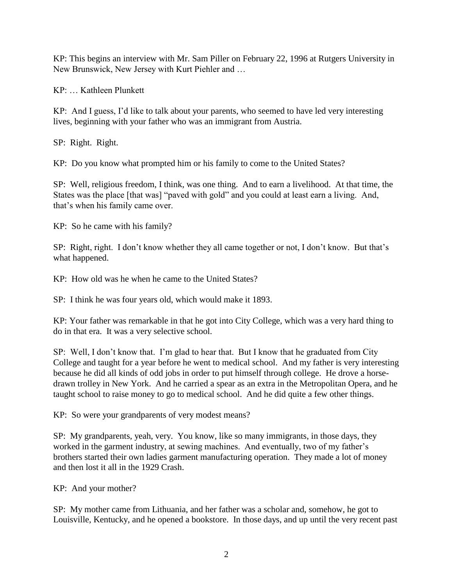KP: This begins an interview with Mr. Sam Piller on February 22, 1996 at Rutgers University in New Brunswick, New Jersey with Kurt Piehler and …

KP: … Kathleen Plunkett

KP: And I guess, I'd like to talk about your parents, who seemed to have led very interesting lives, beginning with your father who was an immigrant from Austria.

SP: Right. Right.

KP: Do you know what prompted him or his family to come to the United States?

SP: Well, religious freedom, I think, was one thing. And to earn a livelihood. At that time, the States was the place [that was] "paved with gold" and you could at least earn a living. And, that's when his family came over.

KP: So he came with his family?

SP: Right, right. I don't know whether they all came together or not, I don't know. But that's what happened.

KP: How old was he when he came to the United States?

SP: I think he was four years old, which would make it 1893.

KP: Your father was remarkable in that he got into City College, which was a very hard thing to do in that era. It was a very selective school.

SP: Well, I don't know that. I'm glad to hear that. But I know that he graduated from City College and taught for a year before he went to medical school. And my father is very interesting because he did all kinds of odd jobs in order to put himself through college. He drove a horsedrawn trolley in New York. And he carried a spear as an extra in the Metropolitan Opera, and he taught school to raise money to go to medical school. And he did quite a few other things.

KP: So were your grandparents of very modest means?

SP: My grandparents, yeah, very. You know, like so many immigrants, in those days, they worked in the garment industry, at sewing machines. And eventually, two of my father's brothers started their own ladies garment manufacturing operation. They made a lot of money and then lost it all in the 1929 Crash.

KP: And your mother?

SP: My mother came from Lithuania, and her father was a scholar and, somehow, he got to Louisville, Kentucky, and he opened a bookstore. In those days, and up until the very recent past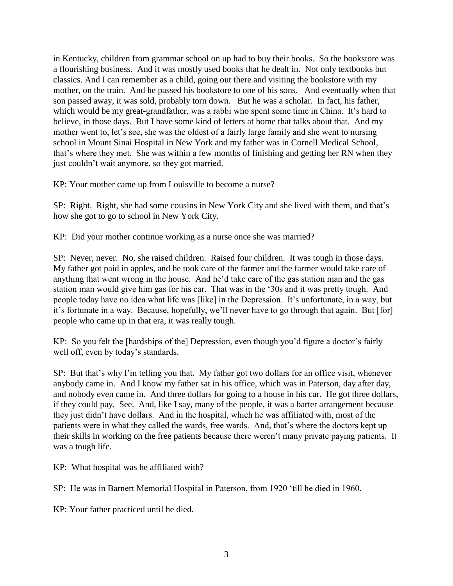in Kentucky, children from grammar school on up had to buy their books. So the bookstore was a flourishing business. And it was mostly used books that he dealt in. Not only textbooks but classics. And I can remember as a child, going out there and visiting the bookstore with my mother, on the train. And he passed his bookstore to one of his sons. And eventually when that son passed away, it was sold, probably torn down. But he was a scholar. In fact, his father, which would be my great-grandfather, was a rabbi who spent some time in China. It's hard to believe, in those days. But I have some kind of letters at home that talks about that. And my mother went to, let's see, she was the oldest of a fairly large family and she went to nursing school in Mount Sinai Hospital in New York and my father was in Cornell Medical School, that's where they met. She was within a few months of finishing and getting her RN when they just couldn't wait anymore, so they got married.

KP: Your mother came up from Louisville to become a nurse?

SP: Right. Right, she had some cousins in New York City and she lived with them, and that's how she got to go to school in New York City.

KP: Did your mother continue working as a nurse once she was married?

SP: Never, never. No, she raised children. Raised four children. It was tough in those days. My father got paid in apples, and he took care of the farmer and the farmer would take care of anything that went wrong in the house. And he'd take care of the gas station man and the gas station man would give him gas for his car. That was in the '30s and it was pretty tough. And people today have no idea what life was [like] in the Depression. It's unfortunate, in a way, but it's fortunate in a way. Because, hopefully, we'll never have to go through that again. But [for] people who came up in that era, it was really tough.

KP: So you felt the [hardships of the] Depression, even though you'd figure a doctor's fairly well off, even by today's standards.

SP: But that's why I'm telling you that. My father got two dollars for an office visit, whenever anybody came in. And I know my father sat in his office, which was in Paterson, day after day, and nobody even came in. And three dollars for going to a house in his car. He got three dollars, if they could pay. See. And, like I say, many of the people, it was a barter arrangement because they just didn't have dollars. And in the hospital, which he was affiliated with, most of the patients were in what they called the wards, free wards. And, that's where the doctors kept up their skills in working on the free patients because there weren't many private paying patients. It was a tough life.

KP: What hospital was he affiliated with?

SP: He was in Barnert Memorial Hospital in Paterson, from 1920 'till he died in 1960.

KP: Your father practiced until he died.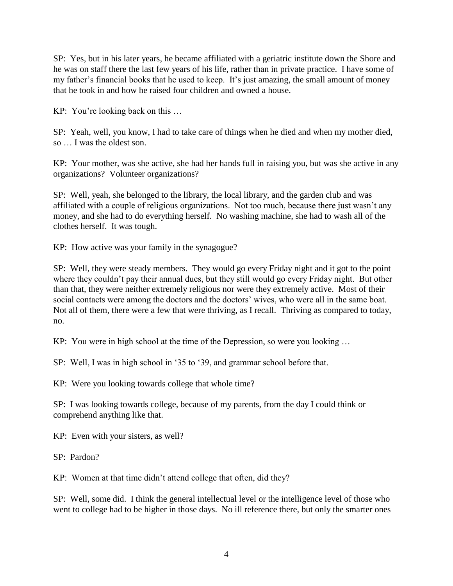SP: Yes, but in his later years, he became affiliated with a geriatric institute down the Shore and he was on staff there the last few years of his life, rather than in private practice. I have some of my father's financial books that he used to keep. It's just amazing, the small amount of money that he took in and how he raised four children and owned a house.

KP: You're looking back on this …

SP: Yeah, well, you know, I had to take care of things when he died and when my mother died, so … I was the oldest son.

KP: Your mother, was she active, she had her hands full in raising you, but was she active in any organizations? Volunteer organizations?

SP: Well, yeah, she belonged to the library, the local library, and the garden club and was affiliated with a couple of religious organizations. Not too much, because there just wasn't any money, and she had to do everything herself. No washing machine, she had to wash all of the clothes herself. It was tough.

KP: How active was your family in the synagogue?

SP: Well, they were steady members. They would go every Friday night and it got to the point where they couldn't pay their annual dues, but they still would go every Friday night. But other than that, they were neither extremely religious nor were they extremely active. Most of their social contacts were among the doctors and the doctors' wives, who were all in the same boat. Not all of them, there were a few that were thriving, as I recall. Thriving as compared to today, no.

KP: You were in high school at the time of the Depression, so were you looking …

SP: Well, I was in high school in '35 to '39, and grammar school before that.

KP: Were you looking towards college that whole time?

SP: I was looking towards college, because of my parents, from the day I could think or comprehend anything like that.

KP: Even with your sisters, as well?

SP: Pardon?

KP: Women at that time didn't attend college that often, did they?

SP: Well, some did. I think the general intellectual level or the intelligence level of those who went to college had to be higher in those days. No ill reference there, but only the smarter ones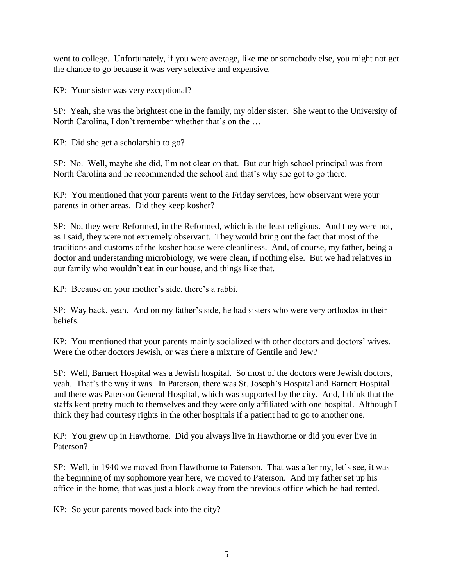went to college. Unfortunately, if you were average, like me or somebody else, you might not get the chance to go because it was very selective and expensive.

KP: Your sister was very exceptional?

SP: Yeah, she was the brightest one in the family, my older sister. She went to the University of North Carolina, I don't remember whether that's on the …

KP: Did she get a scholarship to go?

SP: No. Well, maybe she did, I'm not clear on that. But our high school principal was from North Carolina and he recommended the school and that's why she got to go there.

KP: You mentioned that your parents went to the Friday services, how observant were your parents in other areas. Did they keep kosher?

SP: No, they were Reformed, in the Reformed, which is the least religious. And they were not, as I said, they were not extremely observant. They would bring out the fact that most of the traditions and customs of the kosher house were cleanliness. And, of course, my father, being a doctor and understanding microbiology, we were clean, if nothing else. But we had relatives in our family who wouldn't eat in our house, and things like that.

KP: Because on your mother's side, there's a rabbi.

SP: Way back, yeah. And on my father's side, he had sisters who were very orthodox in their beliefs.

KP: You mentioned that your parents mainly socialized with other doctors and doctors' wives. Were the other doctors Jewish, or was there a mixture of Gentile and Jew?

SP: Well, Barnert Hospital was a Jewish hospital. So most of the doctors were Jewish doctors, yeah. That's the way it was. In Paterson, there was St. Joseph's Hospital and Barnert Hospital and there was Paterson General Hospital, which was supported by the city. And, I think that the staffs kept pretty much to themselves and they were only affiliated with one hospital. Although I think they had courtesy rights in the other hospitals if a patient had to go to another one.

KP: You grew up in Hawthorne. Did you always live in Hawthorne or did you ever live in Paterson?

SP: Well, in 1940 we moved from Hawthorne to Paterson. That was after my, let's see, it was the beginning of my sophomore year here, we moved to Paterson. And my father set up his office in the home, that was just a block away from the previous office which he had rented.

KP: So your parents moved back into the city?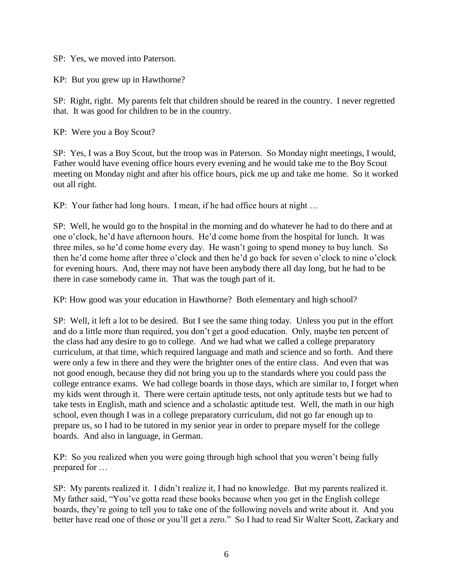SP: Yes, we moved into Paterson.

KP: But you grew up in Hawthorne?

SP: Right, right. My parents felt that children should be reared in the country. I never regretted that. It was good for children to be in the country.

KP: Were you a Boy Scout?

SP: Yes, I was a Boy Scout, but the troop was in Paterson. So Monday night meetings, I would, Father would have evening office hours every evening and he would take me to the Boy Scout meeting on Monday night and after his office hours, pick me up and take me home. So it worked out all right.

KP: Your father had long hours. I mean, if he had office hours at night …

SP: Well, he would go to the hospital in the morning and do whatever he had to do there and at one o'clock, he'd have afternoon hours. He'd come home from the hospital for lunch. It was three miles, so he'd come home every day. He wasn't going to spend money to buy lunch. So then he'd come home after three o'clock and then he'd go back for seven o'clock to nine o'clock for evening hours. And, there may not have been anybody there all day long, but he had to be there in case somebody came in. That was the tough part of it.

KP: How good was your education in Hawthorne? Both elementary and high school?

SP: Well, it left a lot to be desired. But I see the same thing today. Unless you put in the effort and do a little more than required, you don't get a good education. Only, maybe ten percent of the class had any desire to go to college. And we had what we called a college preparatory curriculum, at that time, which required language and math and science and so forth. And there were only a few in there and they were the brighter ones of the entire class. And even that was not good enough, because they did not bring you up to the standards where you could pass the college entrance exams. We had college boards in those days, which are similar to, I forget when my kids went through it. There were certain aptitude tests, not only aptitude tests but we had to take tests in English, math and science and a scholastic aptitude test. Well, the math in our high school, even though I was in a college preparatory curriculum, did not go far enough up to prepare us, so I had to be tutored in my senior year in order to prepare myself for the college boards. And also in language, in German.

KP: So you realized when you were going through high school that you weren't being fully prepared for …

SP: My parents realized it. I didn't realize it, I had no knowledge. But my parents realized it. My father said, "You've gotta read these books because when you get in the English college boards, they're going to tell you to take one of the following novels and write about it. And you better have read one of those or you'll get a zero." So I had to read Sir Walter Scott, Zackary and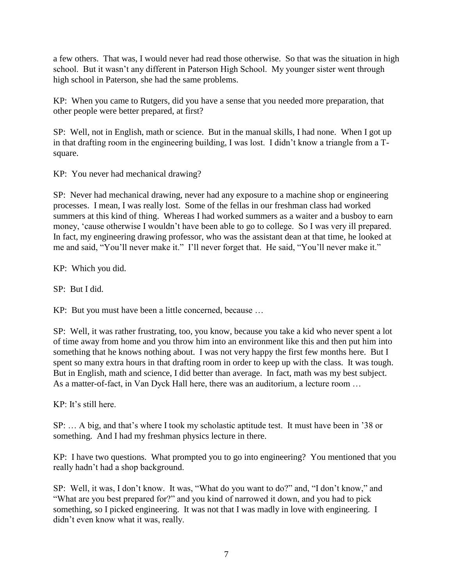a few others. That was, I would never had read those otherwise. So that was the situation in high school. But it wasn't any different in Paterson High School. My younger sister went through high school in Paterson, she had the same problems.

KP: When you came to Rutgers, did you have a sense that you needed more preparation, that other people were better prepared, at first?

SP: Well, not in English, math or science. But in the manual skills, I had none. When I got up in that drafting room in the engineering building, I was lost. I didn't know a triangle from a Tsquare.

KP: You never had mechanical drawing?

SP: Never had mechanical drawing, never had any exposure to a machine shop or engineering processes. I mean, I was really lost. Some of the fellas in our freshman class had worked summers at this kind of thing. Whereas I had worked summers as a waiter and a busboy to earn money, 'cause otherwise I wouldn't have been able to go to college. So I was very ill prepared. In fact, my engineering drawing professor, who was the assistant dean at that time, he looked at me and said, "You'll never make it." I'll never forget that. He said, "You'll never make it."

KP: Which you did.

SP: But I did.

KP: But you must have been a little concerned, because …

SP: Well, it was rather frustrating, too, you know, because you take a kid who never spent a lot of time away from home and you throw him into an environment like this and then put him into something that he knows nothing about. I was not very happy the first few months here. But I spent so many extra hours in that drafting room in order to keep up with the class. It was tough. But in English, math and science, I did better than average. In fact, math was my best subject. As a matter-of-fact, in Van Dyck Hall here, there was an auditorium, a lecture room …

 $KP<sup>+</sup>$  It's still here.

SP: … A big, and that's where I took my scholastic aptitude test. It must have been in '38 or something. And I had my freshman physics lecture in there.

KP: I have two questions. What prompted you to go into engineering? You mentioned that you really hadn't had a shop background.

SP: Well, it was, I don't know. It was, "What do you want to do?" and, "I don't know," and "What are you best prepared for?" and you kind of narrowed it down, and you had to pick something, so I picked engineering. It was not that I was madly in love with engineering. I didn't even know what it was, really.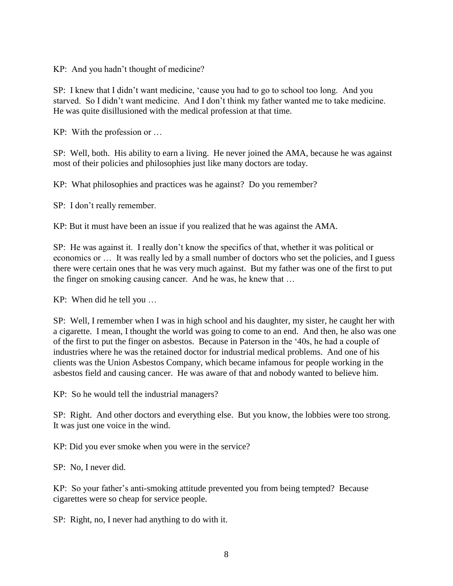KP: And you hadn't thought of medicine?

SP: I knew that I didn't want medicine, 'cause you had to go to school too long. And you starved. So I didn't want medicine. And I don't think my father wanted me to take medicine. He was quite disillusioned with the medical profession at that time.

KP: With the profession or …

SP: Well, both. His ability to earn a living. He never joined the AMA, because he was against most of their policies and philosophies just like many doctors are today.

KP: What philosophies and practices was he against? Do you remember?

SP: I don't really remember.

KP: But it must have been an issue if you realized that he was against the AMA.

SP: He was against it. I really don't know the specifics of that, whether it was political or economics or … It was really led by a small number of doctors who set the policies, and I guess there were certain ones that he was very much against. But my father was one of the first to put the finger on smoking causing cancer. And he was, he knew that …

KP: When did he tell you …

SP: Well, I remember when I was in high school and his daughter, my sister, he caught her with a cigarette. I mean, I thought the world was going to come to an end. And then, he also was one of the first to put the finger on asbestos. Because in Paterson in the '40s, he had a couple of industries where he was the retained doctor for industrial medical problems. And one of his clients was the Union Asbestos Company, which became infamous for people working in the asbestos field and causing cancer. He was aware of that and nobody wanted to believe him.

KP: So he would tell the industrial managers?

SP: Right. And other doctors and everything else. But you know, the lobbies were too strong. It was just one voice in the wind.

KP: Did you ever smoke when you were in the service?

SP: No, I never did.

KP: So your father's anti-smoking attitude prevented you from being tempted? Because cigarettes were so cheap for service people.

SP: Right, no, I never had anything to do with it.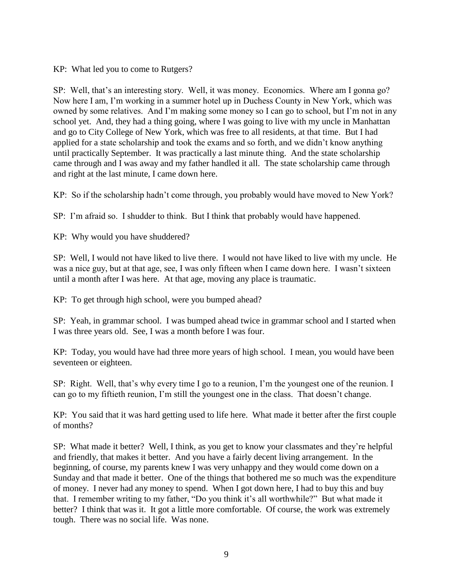KP: What led you to come to Rutgers?

SP: Well, that's an interesting story. Well, it was money. Economics. Where am I gonna go? Now here I am, I'm working in a summer hotel up in Duchess County in New York, which was owned by some relatives. And I'm making some money so I can go to school, but I'm not in any school yet. And, they had a thing going, where I was going to live with my uncle in Manhattan and go to City College of New York, which was free to all residents, at that time. But I had applied for a state scholarship and took the exams and so forth, and we didn't know anything until practically September. It was practically a last minute thing. And the state scholarship came through and I was away and my father handled it all. The state scholarship came through and right at the last minute, I came down here.

KP: So if the scholarship hadn't come through, you probably would have moved to New York?

SP: I'm afraid so. I shudder to think. But I think that probably would have happened.

KP: Why would you have shuddered?

SP: Well, I would not have liked to live there. I would not have liked to live with my uncle. He was a nice guy, but at that age, see, I was only fifteen when I came down here. I wasn't sixteen until a month after I was here. At that age, moving any place is traumatic.

KP: To get through high school, were you bumped ahead?

SP: Yeah, in grammar school. I was bumped ahead twice in grammar school and I started when I was three years old. See, I was a month before I was four.

KP: Today, you would have had three more years of high school. I mean, you would have been seventeen or eighteen.

SP: Right. Well, that's why every time I go to a reunion, I'm the youngest one of the reunion. I can go to my fiftieth reunion, I'm still the youngest one in the class. That doesn't change.

KP: You said that it was hard getting used to life here. What made it better after the first couple of months?

SP: What made it better? Well, I think, as you get to know your classmates and they're helpful and friendly, that makes it better. And you have a fairly decent living arrangement. In the beginning, of course, my parents knew I was very unhappy and they would come down on a Sunday and that made it better. One of the things that bothered me so much was the expenditure of money. I never had any money to spend. When I got down here, I had to buy this and buy that. I remember writing to my father, "Do you think it's all worthwhile?" But what made it better? I think that was it. It got a little more comfortable. Of course, the work was extremely tough. There was no social life. Was none.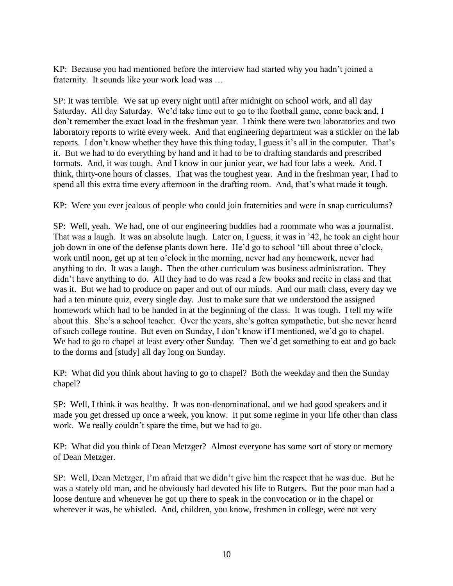KP: Because you had mentioned before the interview had started why you hadn't joined a fraternity. It sounds like your work load was …

SP: It was terrible. We sat up every night until after midnight on school work, and all day Saturday. All day Saturday. We'd take time out to go to the football game, come back and, I don't remember the exact load in the freshman year. I think there were two laboratories and two laboratory reports to write every week. And that engineering department was a stickler on the lab reports. I don't know whether they have this thing today, I guess it's all in the computer. That's it. But we had to do everything by hand and it had to be to drafting standards and prescribed formats. And, it was tough. And I know in our junior year, we had four labs a week. And, I think, thirty-one hours of classes. That was the toughest year. And in the freshman year, I had to spend all this extra time every afternoon in the drafting room. And, that's what made it tough.

KP: Were you ever jealous of people who could join fraternities and were in snap curriculums?

SP: Well, yeah. We had, one of our engineering buddies had a roommate who was a journalist. That was a laugh. It was an absolute laugh. Later on, I guess, it was in '42, he took an eight hour job down in one of the defense plants down here. He'd go to school 'till about three o'clock, work until noon, get up at ten o'clock in the morning, never had any homework, never had anything to do. It was a laugh. Then the other curriculum was business administration. They didn't have anything to do. All they had to do was read a few books and recite in class and that was it. But we had to produce on paper and out of our minds. And our math class, every day we had a ten minute quiz, every single day. Just to make sure that we understood the assigned homework which had to be handed in at the beginning of the class. It was tough. I tell my wife about this. She's a school teacher. Over the years, she's gotten sympathetic, but she never heard of such college routine. But even on Sunday, I don't know if I mentioned, we'd go to chapel. We had to go to chapel at least every other Sunday. Then we'd get something to eat and go back to the dorms and [study] all day long on Sunday.

KP: What did you think about having to go to chapel? Both the weekday and then the Sunday chapel?

SP: Well, I think it was healthy. It was non-denominational, and we had good speakers and it made you get dressed up once a week, you know. It put some regime in your life other than class work. We really couldn't spare the time, but we had to go.

KP: What did you think of Dean Metzger? Almost everyone has some sort of story or memory of Dean Metzger.

SP: Well, Dean Metzger, I'm afraid that we didn't give him the respect that he was due. But he was a stately old man, and he obviously had devoted his life to Rutgers. But the poor man had a loose denture and whenever he got up there to speak in the convocation or in the chapel or wherever it was, he whistled. And, children, you know, freshmen in college, were not very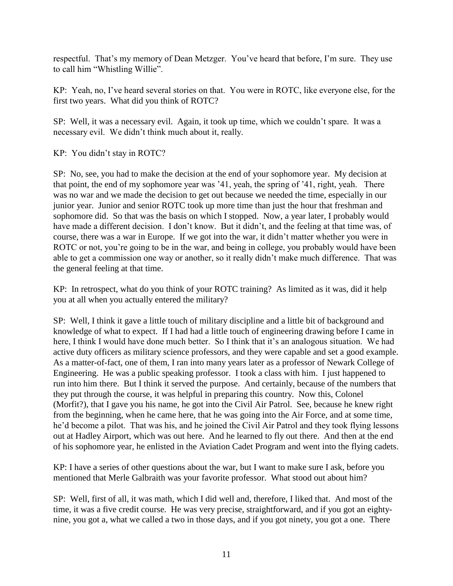respectful. That's my memory of Dean Metzger. You've heard that before, I'm sure. They use to call him "Whistling Willie".

KP: Yeah, no, I've heard several stories on that. You were in ROTC, like everyone else, for the first two years. What did you think of ROTC?

SP: Well, it was a necessary evil. Again, it took up time, which we couldn't spare. It was a necessary evil. We didn't think much about it, really.

KP: You didn't stay in ROTC?

SP: No, see, you had to make the decision at the end of your sophomore year. My decision at that point, the end of my sophomore year was '41, yeah, the spring of '41, right, yeah. There was no war and we made the decision to get out because we needed the time, especially in our junior year. Junior and senior ROTC took up more time than just the hour that freshman and sophomore did. So that was the basis on which I stopped. Now, a year later, I probably would have made a different decision. I don't know. But it didn't, and the feeling at that time was, of course, there was a war in Europe. If we got into the war, it didn't matter whether you were in ROTC or not, you're going to be in the war, and being in college, you probably would have been able to get a commission one way or another, so it really didn't make much difference. That was the general feeling at that time.

KP: In retrospect, what do you think of your ROTC training? As limited as it was, did it help you at all when you actually entered the military?

SP: Well, I think it gave a little touch of military discipline and a little bit of background and knowledge of what to expect. If I had had a little touch of engineering drawing before I came in here, I think I would have done much better. So I think that it's an analogous situation. We had active duty officers as military science professors, and they were capable and set a good example. As a matter-of-fact, one of them, I ran into many years later as a professor of Newark College of Engineering. He was a public speaking professor. I took a class with him. I just happened to run into him there. But I think it served the purpose. And certainly, because of the numbers that they put through the course, it was helpful in preparing this country. Now this, Colonel (Morfit?), that I gave you his name, he got into the Civil Air Patrol. See, because he knew right from the beginning, when he came here, that he was going into the Air Force, and at some time, he'd become a pilot. That was his, and he joined the Civil Air Patrol and they took flying lessons out at Hadley Airport, which was out here. And he learned to fly out there. And then at the end of his sophomore year, he enlisted in the Aviation Cadet Program and went into the flying cadets.

KP: I have a series of other questions about the war, but I want to make sure I ask, before you mentioned that Merle Galbraith was your favorite professor. What stood out about him?

SP: Well, first of all, it was math, which I did well and, therefore, I liked that. And most of the time, it was a five credit course. He was very precise, straightforward, and if you got an eightynine, you got a, what we called a two in those days, and if you got ninety, you got a one. There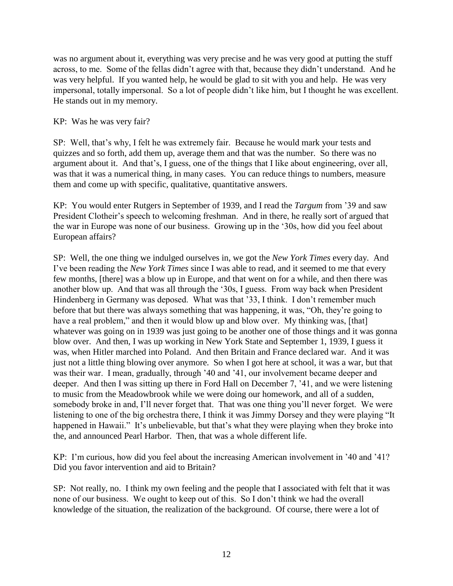was no argument about it, everything was very precise and he was very good at putting the stuff across, to me. Some of the fellas didn't agree with that, because they didn't understand. And he was very helpful. If you wanted help, he would be glad to sit with you and help. He was very impersonal, totally impersonal. So a lot of people didn't like him, but I thought he was excellent. He stands out in my memory.

### KP: Was he was very fair?

SP: Well, that's why, I felt he was extremely fair. Because he would mark your tests and quizzes and so forth, add them up, average them and that was the number. So there was no argument about it. And that's, I guess, one of the things that I like about engineering, over all, was that it was a numerical thing, in many cases. You can reduce things to numbers, measure them and come up with specific, qualitative, quantitative answers.

KP: You would enter Rutgers in September of 1939, and I read the *Targum* from '39 and saw President Clotheir's speech to welcoming freshman. And in there, he really sort of argued that the war in Europe was none of our business. Growing up in the '30s, how did you feel about European affairs?

SP: Well, the one thing we indulged ourselves in, we got the *New York Times* every day. And I've been reading the *New York Times* since I was able to read, and it seemed to me that every few months, [there] was a blow up in Europe, and that went on for a while, and then there was another blow up. And that was all through the '30s, I guess. From way back when President Hindenberg in Germany was deposed. What was that '33, I think. I don't remember much before that but there was always something that was happening, it was, "Oh, they're going to have a real problem," and then it would blow up and blow over. My thinking was, [that] whatever was going on in 1939 was just going to be another one of those things and it was gonna blow over. And then, I was up working in New York State and September 1, 1939, I guess it was, when Hitler marched into Poland. And then Britain and France declared war. And it was just not a little thing blowing over anymore. So when I got here at school, it was a war, but that was their war. I mean, gradually, through '40 and '41, our involvement became deeper and deeper. And then I was sitting up there in Ford Hall on December 7, '41, and we were listening to music from the Meadowbrook while we were doing our homework, and all of a sudden, somebody broke in and, I'll never forget that. That was one thing you'll never forget. We were listening to one of the big orchestra there, I think it was Jimmy Dorsey and they were playing "It happened in Hawaii." It's unbelievable, but that's what they were playing when they broke into the, and announced Pearl Harbor. Then, that was a whole different life.

KP: I'm curious, how did you feel about the increasing American involvement in '40 and '41? Did you favor intervention and aid to Britain?

SP: Not really, no. I think my own feeling and the people that I associated with felt that it was none of our business. We ought to keep out of this. So I don't think we had the overall knowledge of the situation, the realization of the background. Of course, there were a lot of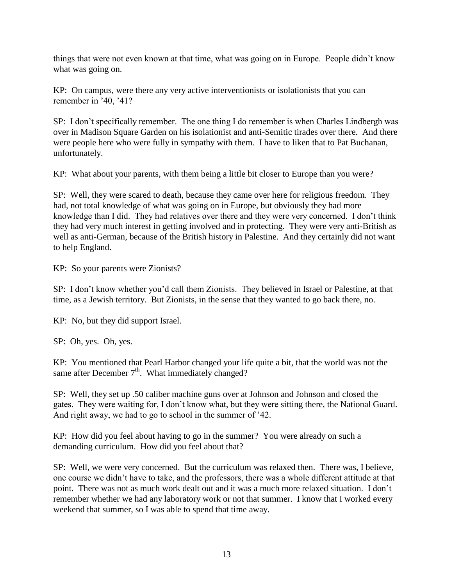things that were not even known at that time, what was going on in Europe. People didn't know what was going on.

KP: On campus, were there any very active interventionists or isolationists that you can remember in '40, '41?

SP: I don't specifically remember. The one thing I do remember is when Charles Lindbergh was over in Madison Square Garden on his isolationist and anti-Semitic tirades over there. And there were people here who were fully in sympathy with them. I have to liken that to Pat Buchanan, unfortunately.

KP: What about your parents, with them being a little bit closer to Europe than you were?

SP: Well, they were scared to death, because they came over here for religious freedom. They had, not total knowledge of what was going on in Europe, but obviously they had more knowledge than I did. They had relatives over there and they were very concerned. I don't think they had very much interest in getting involved and in protecting. They were very anti-British as well as anti-German, because of the British history in Palestine. And they certainly did not want to help England.

KP: So your parents were Zionists?

SP: I don't know whether you'd call them Zionists. They believed in Israel or Palestine, at that time, as a Jewish territory. But Zionists, in the sense that they wanted to go back there, no.

KP: No, but they did support Israel.

SP: Oh, yes. Oh, yes.

KP: You mentioned that Pearl Harbor changed your life quite a bit, that the world was not the same after December  $7<sup>th</sup>$ . What immediately changed?

SP: Well, they set up .50 caliber machine guns over at Johnson and Johnson and closed the gates. They were waiting for, I don't know what, but they were sitting there, the National Guard. And right away, we had to go to school in the summer of '42.

KP: How did you feel about having to go in the summer? You were already on such a demanding curriculum. How did you feel about that?

SP: Well, we were very concerned. But the curriculum was relaxed then. There was, I believe, one course we didn't have to take, and the professors, there was a whole different attitude at that point. There was not as much work dealt out and it was a much more relaxed situation. I don't remember whether we had any laboratory work or not that summer. I know that I worked every weekend that summer, so I was able to spend that time away.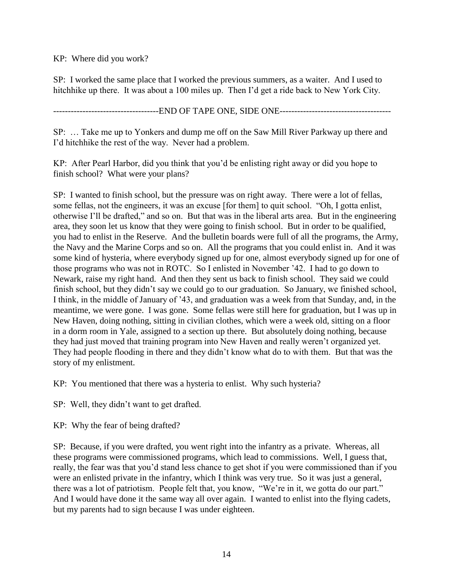KP: Where did you work?

SP: I worked the same place that I worked the previous summers, as a waiter. And I used to hitchhike up there. It was about a 100 miles up. Then I'd get a ride back to New York City.

------------------------------------END OF TAPE ONE, SIDE ONE--------------------------------------

SP: … Take me up to Yonkers and dump me off on the Saw Mill River Parkway up there and I'd hitchhike the rest of the way. Never had a problem.

KP: After Pearl Harbor, did you think that you'd be enlisting right away or did you hope to finish school? What were your plans?

SP: I wanted to finish school, but the pressure was on right away. There were a lot of fellas, some fellas, not the engineers, it was an excuse [for them] to quit school. "Oh, I gotta enlist, otherwise I'll be drafted," and so on. But that was in the liberal arts area. But in the engineering area, they soon let us know that they were going to finish school. But in order to be qualified, you had to enlist in the Reserve. And the bulletin boards were full of all the programs, the Army, the Navy and the Marine Corps and so on. All the programs that you could enlist in. And it was some kind of hysteria, where everybody signed up for one, almost everybody signed up for one of those programs who was not in ROTC. So I enlisted in November '42. I had to go down to Newark, raise my right hand. And then they sent us back to finish school. They said we could finish school, but they didn't say we could go to our graduation. So January, we finished school, I think, in the middle of January of '43, and graduation was a week from that Sunday, and, in the meantime, we were gone. I was gone. Some fellas were still here for graduation, but I was up in New Haven, doing nothing, sitting in civilian clothes, which were a week old, sitting on a floor in a dorm room in Yale, assigned to a section up there. But absolutely doing nothing, because they had just moved that training program into New Haven and really weren't organized yet. They had people flooding in there and they didn't know what do to with them. But that was the story of my enlistment.

KP: You mentioned that there was a hysteria to enlist. Why such hysteria?

SP: Well, they didn't want to get drafted.

KP: Why the fear of being drafted?

SP: Because, if you were drafted, you went right into the infantry as a private. Whereas, all these programs were commissioned programs, which lead to commissions. Well, I guess that, really, the fear was that you'd stand less chance to get shot if you were commissioned than if you were an enlisted private in the infantry, which I think was very true. So it was just a general, there was a lot of patriotism. People felt that, you know, "We're in it, we gotta do our part." And I would have done it the same way all over again. I wanted to enlist into the flying cadets, but my parents had to sign because I was under eighteen.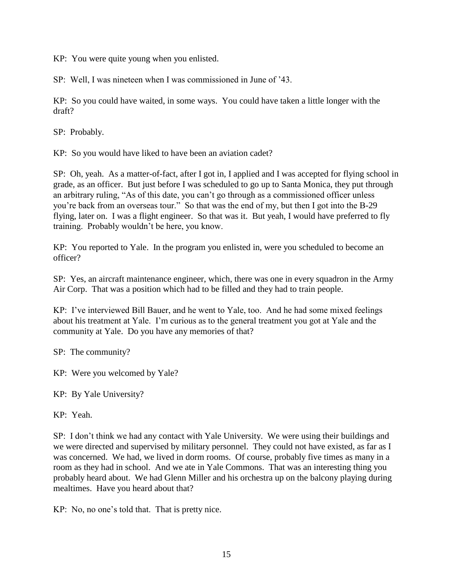KP: You were quite young when you enlisted.

SP: Well, I was nineteen when I was commissioned in June of '43.

KP: So you could have waited, in some ways. You could have taken a little longer with the draft?

SP: Probably.

KP: So you would have liked to have been an aviation cadet?

SP: Oh, yeah. As a matter-of-fact, after I got in, I applied and I was accepted for flying school in grade, as an officer. But just before I was scheduled to go up to Santa Monica, they put through an arbitrary ruling, "As of this date, you can't go through as a commissioned officer unless you're back from an overseas tour." So that was the end of my, but then I got into the B-29 flying, later on. I was a flight engineer. So that was it. But yeah, I would have preferred to fly training. Probably wouldn't be here, you know.

KP: You reported to Yale. In the program you enlisted in, were you scheduled to become an officer?

SP: Yes, an aircraft maintenance engineer, which, there was one in every squadron in the Army Air Corp. That was a position which had to be filled and they had to train people.

KP: I've interviewed Bill Bauer, and he went to Yale, too. And he had some mixed feelings about his treatment at Yale. I'm curious as to the general treatment you got at Yale and the community at Yale. Do you have any memories of that?

SP: The community?

KP: Were you welcomed by Yale?

KP: By Yale University?

KP: Yeah.

SP: I don't think we had any contact with Yale University. We were using their buildings and we were directed and supervised by military personnel. They could not have existed, as far as I was concerned. We had, we lived in dorm rooms. Of course, probably five times as many in a room as they had in school. And we ate in Yale Commons. That was an interesting thing you probably heard about. We had Glenn Miller and his orchestra up on the balcony playing during mealtimes. Have you heard about that?

KP: No, no one's told that. That is pretty nice.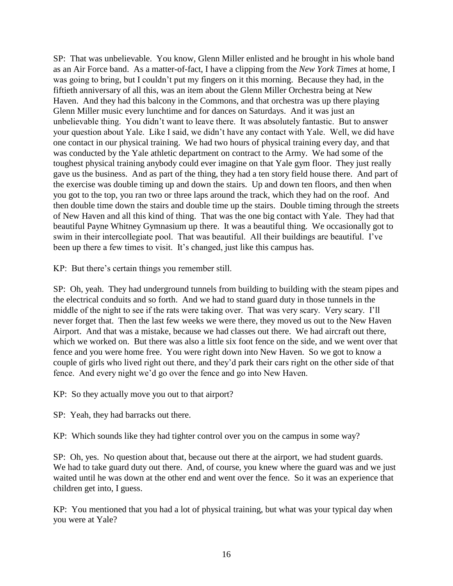SP: That was unbelievable. You know, Glenn Miller enlisted and he brought in his whole band as an Air Force band. As a matter-of-fact, I have a clipping from the *New York Times* at home, I was going to bring, but I couldn't put my fingers on it this morning. Because they had, in the fiftieth anniversary of all this, was an item about the Glenn Miller Orchestra being at New Haven. And they had this balcony in the Commons, and that orchestra was up there playing Glenn Miller music every lunchtime and for dances on Saturdays. And it was just an unbelievable thing. You didn't want to leave there. It was absolutely fantastic. But to answer your question about Yale. Like I said, we didn't have any contact with Yale. Well, we did have one contact in our physical training. We had two hours of physical training every day, and that was conducted by the Yale athletic department on contract to the Army. We had some of the toughest physical training anybody could ever imagine on that Yale gym floor. They just really gave us the business. And as part of the thing, they had a ten story field house there. And part of the exercise was double timing up and down the stairs. Up and down ten floors, and then when you got to the top, you ran two or three laps around the track, which they had on the roof. And then double time down the stairs and double time up the stairs. Double timing through the streets of New Haven and all this kind of thing. That was the one big contact with Yale. They had that beautiful Payne Whitney Gymnasium up there. It was a beautiful thing. We occasionally got to swim in their intercollegiate pool. That was beautiful. All their buildings are beautiful. I've been up there a few times to visit. It's changed, just like this campus has.

KP: But there's certain things you remember still.

SP: Oh, yeah. They had underground tunnels from building to building with the steam pipes and the electrical conduits and so forth. And we had to stand guard duty in those tunnels in the middle of the night to see if the rats were taking over. That was very scary. Very scary. I'll never forget that. Then the last few weeks we were there, they moved us out to the New Haven Airport. And that was a mistake, because we had classes out there. We had aircraft out there, which we worked on. But there was also a little six foot fence on the side, and we went over that fence and you were home free. You were right down into New Haven. So we got to know a couple of girls who lived right out there, and they'd park their cars right on the other side of that fence. And every night we'd go over the fence and go into New Haven.

KP: So they actually move you out to that airport?

SP: Yeah, they had barracks out there.

KP: Which sounds like they had tighter control over you on the campus in some way?

SP: Oh, yes. No question about that, because out there at the airport, we had student guards. We had to take guard duty out there. And, of course, you knew where the guard was and we just waited until he was down at the other end and went over the fence. So it was an experience that children get into, I guess.

KP: You mentioned that you had a lot of physical training, but what was your typical day when you were at Yale?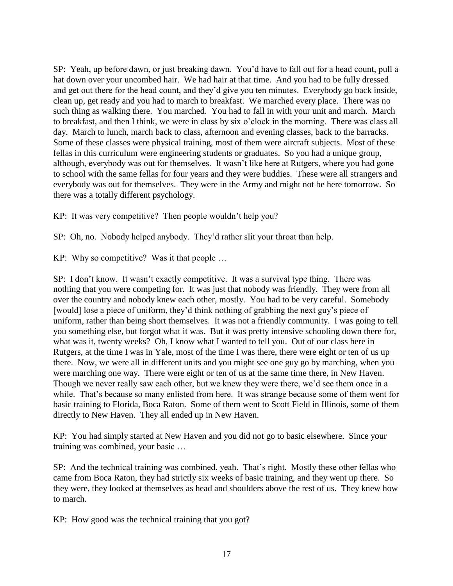SP: Yeah, up before dawn, or just breaking dawn. You'd have to fall out for a head count, pull a hat down over your uncombed hair. We had hair at that time. And you had to be fully dressed and get out there for the head count, and they'd give you ten minutes. Everybody go back inside, clean up, get ready and you had to march to breakfast. We marched every place. There was no such thing as walking there. You marched. You had to fall in with your unit and march. March to breakfast, and then I think, we were in class by six o'clock in the morning. There was class all day. March to lunch, march back to class, afternoon and evening classes, back to the barracks. Some of these classes were physical training, most of them were aircraft subjects. Most of these fellas in this curriculum were engineering students or graduates. So you had a unique group, although, everybody was out for themselves. It wasn't like here at Rutgers, where you had gone to school with the same fellas for four years and they were buddies. These were all strangers and everybody was out for themselves. They were in the Army and might not be here tomorrow. So there was a totally different psychology.

KP: It was very competitive? Then people wouldn't help you?

SP: Oh, no. Nobody helped anybody. They'd rather slit your throat than help.

KP: Why so competitive? Was it that people …

SP: I don't know. It wasn't exactly competitive. It was a survival type thing. There was nothing that you were competing for. It was just that nobody was friendly. They were from all over the country and nobody knew each other, mostly. You had to be very careful. Somebody [would] lose a piece of uniform, they'd think nothing of grabbing the next guy's piece of uniform, rather than being short themselves. It was not a friendly community. I was going to tell you something else, but forgot what it was. But it was pretty intensive schooling down there for, what was it, twenty weeks? Oh, I know what I wanted to tell you. Out of our class here in Rutgers, at the time I was in Yale, most of the time I was there, there were eight or ten of us up there. Now, we were all in different units and you might see one guy go by marching, when you were marching one way. There were eight or ten of us at the same time there, in New Haven. Though we never really saw each other, but we knew they were there, we'd see them once in a while. That's because so many enlisted from here. It was strange because some of them went for basic training to Florida, Boca Raton. Some of them went to Scott Field in Illinois, some of them directly to New Haven. They all ended up in New Haven.

KP: You had simply started at New Haven and you did not go to basic elsewhere. Since your training was combined, your basic …

SP: And the technical training was combined, yeah. That's right. Mostly these other fellas who came from Boca Raton, they had strictly six weeks of basic training, and they went up there. So they were, they looked at themselves as head and shoulders above the rest of us. They knew how to march.

KP: How good was the technical training that you got?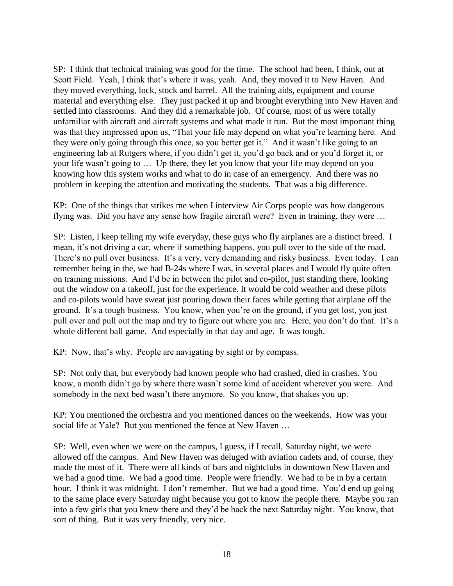SP: I think that technical training was good for the time. The school had been, I think, out at Scott Field. Yeah, I think that's where it was, yeah. And, they moved it to New Haven. And they moved everything, lock, stock and barrel. All the training aids, equipment and course material and everything else. They just packed it up and brought everything into New Haven and settled into classrooms. And they did a remarkable job. Of course, most of us were totally unfamiliar with aircraft and aircraft systems and what made it run. But the most important thing was that they impressed upon us, "That your life may depend on what you're learning here. And they were only going through this once, so you better get it." And it wasn't like going to an engineering lab at Rutgers where, if you didn't get it, you'd go back and or you'd forget it, or your life wasn't going to … Up there, they let you know that your life may depend on you knowing how this system works and what to do in case of an emergency. And there was no problem in keeping the attention and motivating the students. That was a big difference.

KP: One of the things that strikes me when I interview Air Corps people was how dangerous flying was. Did you have any sense how fragile aircraft were? Even in training, they were …

SP: Listen, I keep telling my wife everyday, these guys who fly airplanes are a distinct breed. I mean, it's not driving a car, where if something happens, you pull over to the side of the road. There's no pull over business. It's a very, very demanding and risky business. Even today. I can remember being in the, we had B-24s where I was, in several places and I would fly quite often on training missions. And I'd be in between the pilot and co-pilot, just standing there, looking out the window on a takeoff, just for the experience. It would be cold weather and these pilots and co-pilots would have sweat just pouring down their faces while getting that airplane off the ground. It's a tough business. You know, when you're on the ground, if you get lost, you just pull over and pull out the map and try to figure out where you are. Here, you don't do that. It's a whole different ball game. And especially in that day and age. It was tough.

KP: Now, that's why. People are navigating by sight or by compass.

SP: Not only that, but everybody had known people who had crashed, died in crashes. You know, a month didn't go by where there wasn't some kind of accident wherever you were. And somebody in the next bed wasn't there anymore. So you know, that shakes you up.

KP: You mentioned the orchestra and you mentioned dances on the weekends. How was your social life at Yale? But you mentioned the fence at New Haven …

SP: Well, even when we were on the campus, I guess, if I recall, Saturday night, we were allowed off the campus. And New Haven was deluged with aviation cadets and, of course, they made the most of it. There were all kinds of bars and nightclubs in downtown New Haven and we had a good time. We had a good time. People were friendly. We had to be in by a certain hour. I think it was midnight. I don't remember. But we had a good time. You'd end up going to the same place every Saturday night because you got to know the people there. Maybe you ran into a few girls that you knew there and they'd be back the next Saturday night. You know, that sort of thing. But it was very friendly, very nice.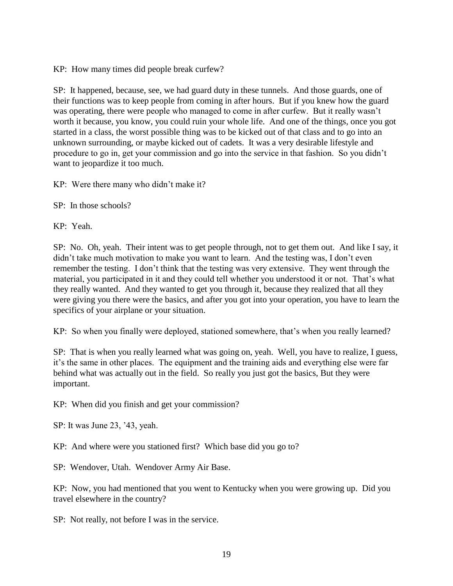KP: How many times did people break curfew?

SP: It happened, because, see, we had guard duty in these tunnels. And those guards, one of their functions was to keep people from coming in after hours. But if you knew how the guard was operating, there were people who managed to come in after curfew. But it really wasn't worth it because, you know, you could ruin your whole life. And one of the things, once you got started in a class, the worst possible thing was to be kicked out of that class and to go into an unknown surrounding, or maybe kicked out of cadets. It was a very desirable lifestyle and procedure to go in, get your commission and go into the service in that fashion. So you didn't want to jeopardize it too much.

KP: Were there many who didn't make it?

SP: In those schools?

KP: Yeah.

SP: No. Oh, yeah. Their intent was to get people through, not to get them out. And like I say, it didn't take much motivation to make you want to learn. And the testing was, I don't even remember the testing. I don't think that the testing was very extensive. They went through the material, you participated in it and they could tell whether you understood it or not. That's what they really wanted. And they wanted to get you through it, because they realized that all they were giving you there were the basics, and after you got into your operation, you have to learn the specifics of your airplane or your situation.

KP: So when you finally were deployed, stationed somewhere, that's when you really learned?

SP: That is when you really learned what was going on, yeah. Well, you have to realize, I guess, it's the same in other places. The equipment and the training aids and everything else were far behind what was actually out in the field. So really you just got the basics, But they were important.

KP: When did you finish and get your commission?

SP: It was June 23, '43, yeah.

KP: And where were you stationed first? Which base did you go to?

SP: Wendover, Utah. Wendover Army Air Base.

KP: Now, you had mentioned that you went to Kentucky when you were growing up. Did you travel elsewhere in the country?

SP: Not really, not before I was in the service.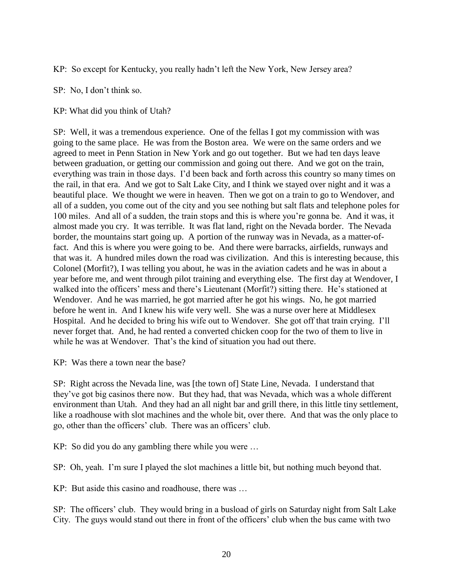KP: So except for Kentucky, you really hadn't left the New York, New Jersey area?

SP: No, I don't think so.

KP: What did you think of Utah?

SP: Well, it was a tremendous experience. One of the fellas I got my commission with was going to the same place. He was from the Boston area. We were on the same orders and we agreed to meet in Penn Station in New York and go out together. But we had ten days leave between graduation, or getting our commission and going out there. And we got on the train, everything was train in those days. I'd been back and forth across this country so many times on the rail, in that era. And we got to Salt Lake City, and I think we stayed over night and it was a beautiful place. We thought we were in heaven. Then we got on a train to go to Wendover, and all of a sudden, you come out of the city and you see nothing but salt flats and telephone poles for 100 miles. And all of a sudden, the train stops and this is where you're gonna be. And it was, it almost made you cry. It was terrible. It was flat land, right on the Nevada border. The Nevada border, the mountains start going up. A portion of the runway was in Nevada, as a matter-offact. And this is where you were going to be. And there were barracks, airfields, runways and that was it. A hundred miles down the road was civilization. And this is interesting because, this Colonel (Morfit?), I was telling you about, he was in the aviation cadets and he was in about a year before me, and went through pilot training and everything else. The first day at Wendover, I walked into the officers' mess and there's Lieutenant (Morfit?) sitting there. He's stationed at Wendover. And he was married, he got married after he got his wings. No, he got married before he went in. And I knew his wife very well. She was a nurse over here at Middlesex Hospital. And he decided to bring his wife out to Wendover. She got off that train crying. I'll never forget that. And, he had rented a converted chicken coop for the two of them to live in while he was at Wendover. That's the kind of situation you had out there.

KP: Was there a town near the base?

SP: Right across the Nevada line, was [the town of] State Line, Nevada. I understand that they've got big casinos there now. But they had, that was Nevada, which was a whole different environment than Utah. And they had an all night bar and grill there, in this little tiny settlement, like a roadhouse with slot machines and the whole bit, over there. And that was the only place to go, other than the officers' club. There was an officers' club.

KP: So did you do any gambling there while you were …

SP: Oh, yeah. I'm sure I played the slot machines a little bit, but nothing much beyond that.

KP: But aside this casino and roadhouse, there was …

SP: The officers' club. They would bring in a busload of girls on Saturday night from Salt Lake City. The guys would stand out there in front of the officers' club when the bus came with two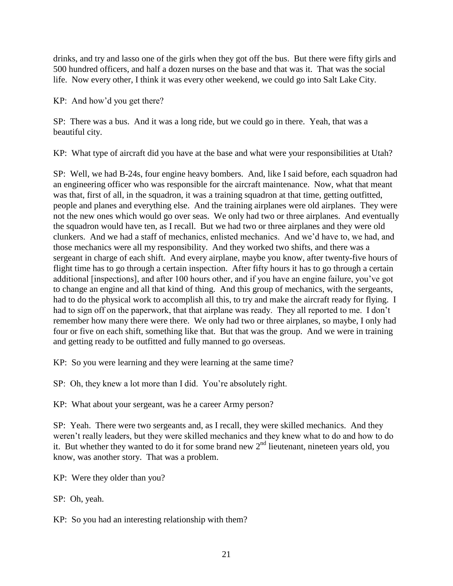drinks, and try and lasso one of the girls when they got off the bus. But there were fifty girls and 500 hundred officers, and half a dozen nurses on the base and that was it. That was the social life. Now every other, I think it was every other weekend, we could go into Salt Lake City.

KP: And how'd you get there?

SP: There was a bus. And it was a long ride, but we could go in there. Yeah, that was a beautiful city.

KP: What type of aircraft did you have at the base and what were your responsibilities at Utah?

SP: Well, we had B-24s, four engine heavy bombers. And, like I said before, each squadron had an engineering officer who was responsible for the aircraft maintenance. Now, what that meant was that, first of all, in the squadron, it was a training squadron at that time, getting outfitted, people and planes and everything else. And the training airplanes were old airplanes. They were not the new ones which would go over seas. We only had two or three airplanes. And eventually the squadron would have ten, as I recall. But we had two or three airplanes and they were old clunkers. And we had a staff of mechanics, enlisted mechanics. And we'd have to, we had, and those mechanics were all my responsibility. And they worked two shifts, and there was a sergeant in charge of each shift. And every airplane, maybe you know, after twenty-five hours of flight time has to go through a certain inspection. After fifty hours it has to go through a certain additional [inspections], and after 100 hours other, and if you have an engine failure, you've got to change an engine and all that kind of thing. And this group of mechanics, with the sergeants, had to do the physical work to accomplish all this, to try and make the aircraft ready for flying. I had to sign off on the paperwork, that that airplane was ready. They all reported to me. I don't remember how many there were there. We only had two or three airplanes, so maybe, I only had four or five on each shift, something like that. But that was the group. And we were in training and getting ready to be outfitted and fully manned to go overseas.

KP: So you were learning and they were learning at the same time?

SP: Oh, they knew a lot more than I did. You're absolutely right.

KP: What about your sergeant, was he a career Army person?

SP: Yeah. There were two sergeants and, as I recall, they were skilled mechanics. And they weren't really leaders, but they were skilled mechanics and they knew what to do and how to do it. But whether they wanted to do it for some brand new  $2<sup>nd</sup>$  lieutenant, nineteen years old, you know, was another story. That was a problem.

KP: Were they older than you?

SP: Oh, yeah.

KP: So you had an interesting relationship with them?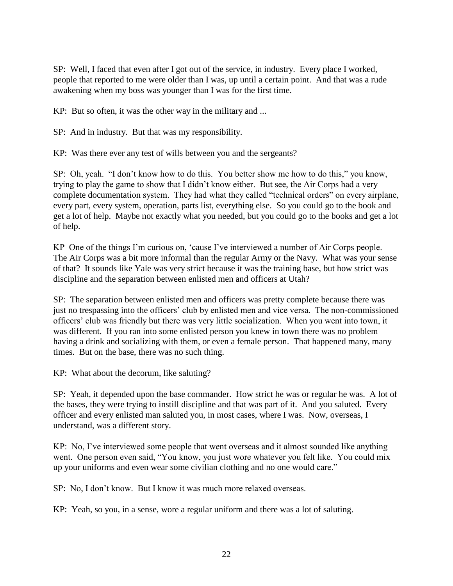SP: Well, I faced that even after I got out of the service, in industry. Every place I worked, people that reported to me were older than I was, up until a certain point. And that was a rude awakening when my boss was younger than I was for the first time.

KP: But so often, it was the other way in the military and ...

SP: And in industry. But that was my responsibility.

KP: Was there ever any test of wills between you and the sergeants?

SP: Oh, yeah. "I don't know how to do this. You better show me how to do this," you know, trying to play the game to show that I didn't know either. But see, the Air Corps had a very complete documentation system. They had what they called "technical orders" on every airplane, every part, every system, operation, parts list, everything else. So you could go to the book and get a lot of help. Maybe not exactly what you needed, but you could go to the books and get a lot of help.

KP One of the things I'm curious on, 'cause I've interviewed a number of Air Corps people. The Air Corps was a bit more informal than the regular Army or the Navy. What was your sense of that? It sounds like Yale was very strict because it was the training base, but how strict was discipline and the separation between enlisted men and officers at Utah?

SP: The separation between enlisted men and officers was pretty complete because there was just no trespassing into the officers' club by enlisted men and vice versa. The non-commissioned officers' club was friendly but there was very little socialization. When you went into town, it was different. If you ran into some enlisted person you knew in town there was no problem having a drink and socializing with them, or even a female person. That happened many, many times. But on the base, there was no such thing.

KP: What about the decorum, like saluting?

SP: Yeah, it depended upon the base commander. How strict he was or regular he was. A lot of the bases, they were trying to instill discipline and that was part of it. And you saluted. Every officer and every enlisted man saluted you, in most cases, where I was. Now, overseas, I understand, was a different story.

KP: No, I've interviewed some people that went overseas and it almost sounded like anything went. One person even said, "You know, you just wore whatever you felt like. You could mix up your uniforms and even wear some civilian clothing and no one would care."

SP: No, I don't know. But I know it was much more relaxed overseas.

KP: Yeah, so you, in a sense, wore a regular uniform and there was a lot of saluting.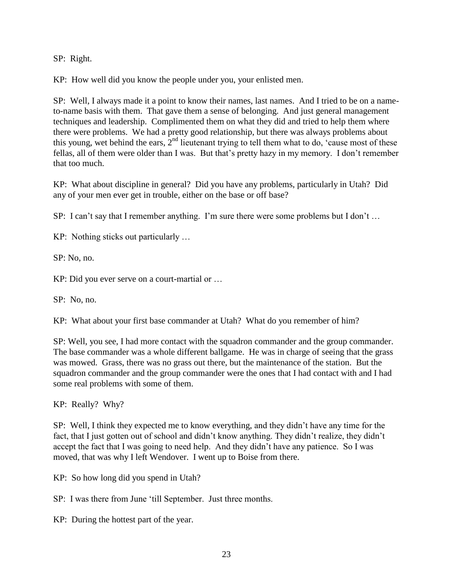SP: Right.

KP: How well did you know the people under you, your enlisted men.

SP: Well, I always made it a point to know their names, last names. And I tried to be on a nameto-name basis with them. That gave them a sense of belonging. And just general management techniques and leadership. Complimented them on what they did and tried to help them where there were problems. We had a pretty good relationship, but there was always problems about this young, wet behind the ears,  $2<sup>nd</sup>$  lieutenant trying to tell them what to do, 'cause most of these fellas, all of them were older than I was. But that's pretty hazy in my memory. I don't remember that too much.

KP: What about discipline in general? Did you have any problems, particularly in Utah? Did any of your men ever get in trouble, either on the base or off base?

SP: I can't say that I remember anything. I'm sure there were some problems but I don't ...

KP: Nothing sticks out particularly …

SP: No, no.

KP: Did you ever serve on a court-martial or …

SP: No, no.

KP: What about your first base commander at Utah? What do you remember of him?

SP: Well, you see, I had more contact with the squadron commander and the group commander. The base commander was a whole different ballgame. He was in charge of seeing that the grass was mowed. Grass, there was no grass out there, but the maintenance of the station. But the squadron commander and the group commander were the ones that I had contact with and I had some real problems with some of them.

KP: Really? Why?

SP: Well, I think they expected me to know everything, and they didn't have any time for the fact, that I just gotten out of school and didn't know anything. They didn't realize, they didn't accept the fact that I was going to need help. And they didn't have any patience. So I was moved, that was why I left Wendover. I went up to Boise from there.

KP: So how long did you spend in Utah?

SP: I was there from June 'till September. Just three months.

KP: During the hottest part of the year.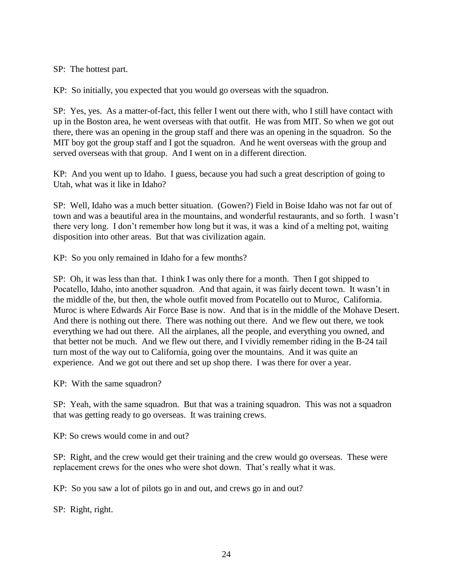SP: The hottest part.

KP: So initially, you expected that you would go overseas with the squadron.

SP: Yes, yes. As a matter-of-fact, this feller I went out there with, who I still have contact with up in the Boston area, he went overseas with that outfit. He was from MIT. So when we got out there, there was an opening in the group staff and there was an opening in the squadron. So the MIT boy got the group staff and I got the squadron. And he went overseas with the group and served overseas with that group. And I went on in a different direction.

KP: And you went up to Idaho. I guess, because you had such a great description of going to Utah, what was it like in Idaho?

SP: Well, Idaho was a much better situation. (Gowen?) Field in Boise Idaho was not far out of town and was a beautiful area in the mountains, and wonderful restaurants, and so forth. I wasn't there very long. I don't remember how long but it was, it was a kind of a melting pot, waiting disposition into other areas. But that was civilization again.

KP: So you only remained in Idaho for a few months?

SP: Oh, it was less than that. I think I was only there for a month. Then I got shipped to Pocatello, Idaho, into another squadron. And that again, it was fairly decent town. It wasn't in the middle of the, but then, the whole outfit moved from Pocatello out to Muroc, California. Muroc is where Edwards Air Force Base is now. And that is in the middle of the Mohave Desert. And there is nothing out there. There was nothing out there. And we flew out there, we took everything we had out there. All the airplanes, all the people, and everything you owned, and that better not be much. And we flew out there, and I vividly remember riding in the B-24 tail turn most of the way out to California, going over the mountains. And it was quite an experience. And we got out there and set up shop there. I was there for over a year.

KP: With the same squadron?

SP: Yeah, with the same squadron. But that was a training squadron. This was not a squadron that was getting ready to go overseas. It was training crews.

KP: So crews would come in and out?

SP: Right, and the crew would get their training and the crew would go overseas. These were replacement crews for the ones who were shot down. That's really what it was.

KP: So you saw a lot of pilots go in and out, and crews go in and out?

SP: Right, right.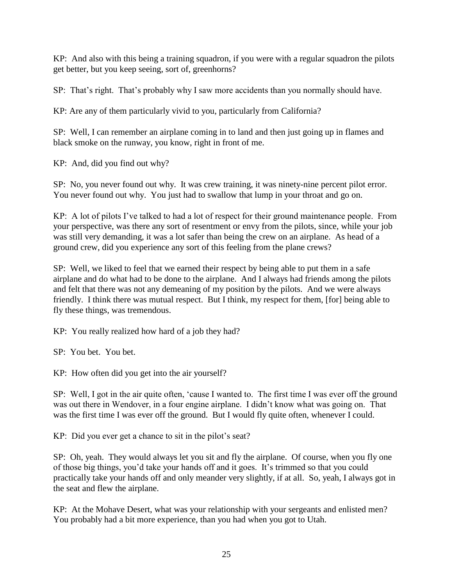KP: And also with this being a training squadron, if you were with a regular squadron the pilots get better, but you keep seeing, sort of, greenhorns?

SP: That's right. That's probably why I saw more accidents than you normally should have.

KP: Are any of them particularly vivid to you, particularly from California?

SP: Well, I can remember an airplane coming in to land and then just going up in flames and black smoke on the runway, you know, right in front of me.

KP: And, did you find out why?

SP: No, you never found out why. It was crew training, it was ninety-nine percent pilot error. You never found out why. You just had to swallow that lump in your throat and go on.

KP: A lot of pilots I've talked to had a lot of respect for their ground maintenance people. From your perspective, was there any sort of resentment or envy from the pilots, since, while your job was still very demanding, it was a lot safer than being the crew on an airplane. As head of a ground crew, did you experience any sort of this feeling from the plane crews?

SP: Well, we liked to feel that we earned their respect by being able to put them in a safe airplane and do what had to be done to the airplane. And I always had friends among the pilots and felt that there was not any demeaning of my position by the pilots. And we were always friendly. I think there was mutual respect. But I think, my respect for them, [for] being able to fly these things, was tremendous.

KP: You really realized how hard of a job they had?

SP: You bet. You bet.

KP: How often did you get into the air yourself?

SP: Well, I got in the air quite often, 'cause I wanted to. The first time I was ever off the ground was out there in Wendover, in a four engine airplane. I didn't know what was going on. That was the first time I was ever off the ground. But I would fly quite often, whenever I could.

KP: Did you ever get a chance to sit in the pilot's seat?

SP: Oh, yeah. They would always let you sit and fly the airplane. Of course, when you fly one of those big things, you'd take your hands off and it goes. It's trimmed so that you could practically take your hands off and only meander very slightly, if at all. So, yeah, I always got in the seat and flew the airplane.

KP: At the Mohave Desert, what was your relationship with your sergeants and enlisted men? You probably had a bit more experience, than you had when you got to Utah.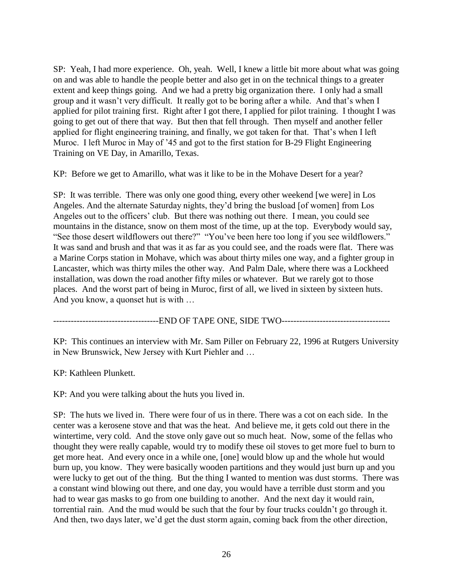SP: Yeah, I had more experience. Oh, yeah. Well, I knew a little bit more about what was going on and was able to handle the people better and also get in on the technical things to a greater extent and keep things going. And we had a pretty big organization there. I only had a small group and it wasn't very difficult. It really got to be boring after a while. And that's when I applied for pilot training first. Right after I got there, I applied for pilot training. I thought I was going to get out of there that way. But then that fell through. Then myself and another feller applied for flight engineering training, and finally, we got taken for that. That's when I left Muroc. I left Muroc in May of '45 and got to the first station for B-29 Flight Engineering Training on VE Day, in Amarillo, Texas.

KP: Before we get to Amarillo, what was it like to be in the Mohave Desert for a year?

SP: It was terrible. There was only one good thing, every other weekend [we were] in Los Angeles. And the alternate Saturday nights, they'd bring the busload [of women] from Los Angeles out to the officers' club. But there was nothing out there. I mean, you could see mountains in the distance, snow on them most of the time, up at the top. Everybody would say, "See those desert wildflowers out there?" "You've been here too long if you see wildflowers." It was sand and brush and that was it as far as you could see, and the roads were flat. There was a Marine Corps station in Mohave, which was about thirty miles one way, and a fighter group in Lancaster, which was thirty miles the other way. And Palm Dale, where there was a Lockheed installation, was down the road another fifty miles or whatever. But we rarely got to those places. And the worst part of being in Muroc, first of all, we lived in sixteen by sixteen huts. And you know, a quonset hut is with …

-------------------------END OF TAPE ONE, SIDE TWO------------------------------

KP: This continues an interview with Mr. Sam Piller on February 22, 1996 at Rutgers University in New Brunswick, New Jersey with Kurt Piehler and …

KP: Kathleen Plunkett.

KP: And you were talking about the huts you lived in.

SP: The huts we lived in. There were four of us in there. There was a cot on each side. In the center was a kerosene stove and that was the heat. And believe me, it gets cold out there in the wintertime, very cold. And the stove only gave out so much heat. Now, some of the fellas who thought they were really capable, would try to modify these oil stoves to get more fuel to burn to get more heat. And every once in a while one, [one] would blow up and the whole hut would burn up, you know. They were basically wooden partitions and they would just burn up and you were lucky to get out of the thing. But the thing I wanted to mention was dust storms. There was a constant wind blowing out there, and one day, you would have a terrible dust storm and you had to wear gas masks to go from one building to another. And the next day it would rain, torrential rain. And the mud would be such that the four by four trucks couldn't go through it. And then, two days later, we'd get the dust storm again, coming back from the other direction,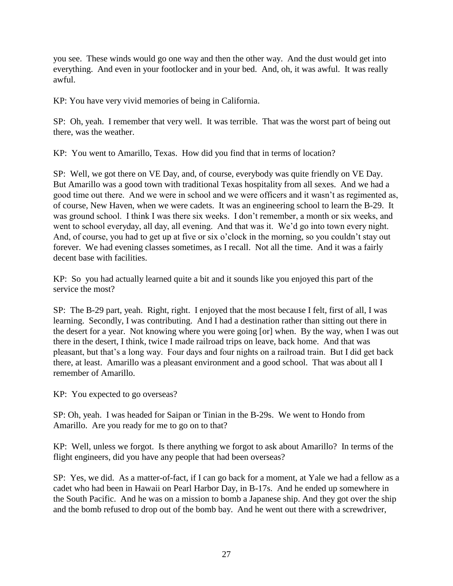you see. These winds would go one way and then the other way. And the dust would get into everything. And even in your footlocker and in your bed. And, oh, it was awful. It was really awful.

KP: You have very vivid memories of being in California.

SP: Oh, yeah. I remember that very well. It was terrible. That was the worst part of being out there, was the weather.

KP: You went to Amarillo, Texas. How did you find that in terms of location?

SP: Well, we got there on VE Day, and, of course, everybody was quite friendly on VE Day. But Amarillo was a good town with traditional Texas hospitality from all sexes. And we had a good time out there. And we were in school and we were officers and it wasn't as regimented as, of course, New Haven, when we were cadets. It was an engineering school to learn the B-29. It was ground school. I think I was there six weeks. I don't remember, a month or six weeks, and went to school everyday, all day, all evening. And that was it. We'd go into town every night. And, of course, you had to get up at five or six o'clock in the morning, so you couldn't stay out forever. We had evening classes sometimes, as I recall. Not all the time. And it was a fairly decent base with facilities.

KP: So you had actually learned quite a bit and it sounds like you enjoyed this part of the service the most?

SP: The B-29 part, yeah. Right, right. I enjoyed that the most because I felt, first of all, I was learning. Secondly, I was contributing. And I had a destination rather than sitting out there in the desert for a year. Not knowing where you were going [or] when. By the way, when I was out there in the desert, I think, twice I made railroad trips on leave, back home. And that was pleasant, but that's a long way. Four days and four nights on a railroad train. But I did get back there, at least. Amarillo was a pleasant environment and a good school. That was about all I remember of Amarillo.

KP: You expected to go overseas?

SP: Oh, yeah. I was headed for Saipan or Tinian in the B-29s. We went to Hondo from Amarillo. Are you ready for me to go on to that?

KP: Well, unless we forgot. Is there anything we forgot to ask about Amarillo? In terms of the flight engineers, did you have any people that had been overseas?

SP: Yes, we did. As a matter-of-fact, if I can go back for a moment, at Yale we had a fellow as a cadet who had been in Hawaii on Pearl Harbor Day, in B-17s. And he ended up somewhere in the South Pacific. And he was on a mission to bomb a Japanese ship. And they got over the ship and the bomb refused to drop out of the bomb bay. And he went out there with a screwdriver,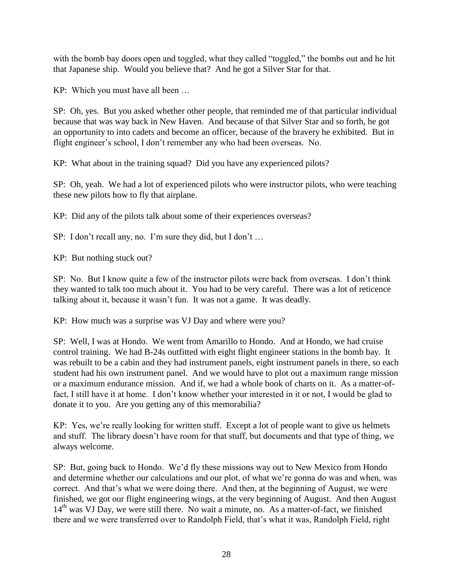with the bomb bay doors open and toggled, what they called "toggled," the bombs out and he hit that Japanese ship. Would you believe that? And he got a Silver Star for that.

KP: Which you must have all been …

SP: Oh, yes. But you asked whether other people, that reminded me of that particular individual because that was way back in New Haven. And because of that Silver Star and so forth, he got an opportunity to into cadets and become an officer, because of the bravery he exhibited. But in flight engineer's school, I don't remember any who had been overseas. No.

KP: What about in the training squad? Did you have any experienced pilots?

SP: Oh, yeah. We had a lot of experienced pilots who were instructor pilots, who were teaching these new pilots how to fly that airplane.

KP: Did any of the pilots talk about some of their experiences overseas?

SP: I don't recall any, no. I'm sure they did, but I don't ...

KP: But nothing stuck out?

SP: No. But I know quite a few of the instructor pilots were back from overseas. I don't think they wanted to talk too much about it. You had to be very careful. There was a lot of reticence talking about it, because it wasn't fun. It was not a game. It was deadly.

KP: How much was a surprise was VJ Day and where were you?

SP: Well, I was at Hondo. We went from Amarillo to Hondo. And at Hondo, we had cruise control training. We had B-24s outfitted with eight flight engineer stations in the bomb bay. It was rebuilt to be a cabin and they had instrument panels, eight instrument panels in there, so each student had his own instrument panel. And we would have to plot out a maximum range mission or a maximum endurance mission. And if, we had a whole book of charts on it. As a matter-offact, I still have it at home. I don't know whether your interested in it or not, I would be glad to donate it to you. Are you getting any of this memorabilia?

KP: Yes, we're really looking for written stuff. Except a lot of people want to give us helmets and stuff. The library doesn't have room for that stuff, but documents and that type of thing, we always welcome.

SP: But, going back to Hondo. We'd fly these missions way out to New Mexico from Hondo and determine whether our calculations and our plot, of what we're gonna do was and when, was correct. And that's what we were doing there. And then, at the beginning of August, we were finished, we got our flight engineering wings, at the very beginning of August. And then August  $14<sup>th</sup>$  was VJ Day, we were still there. No wait a minute, no. As a matter-of-fact, we finished there and we were transferred over to Randolph Field, that's what it was, Randolph Field, right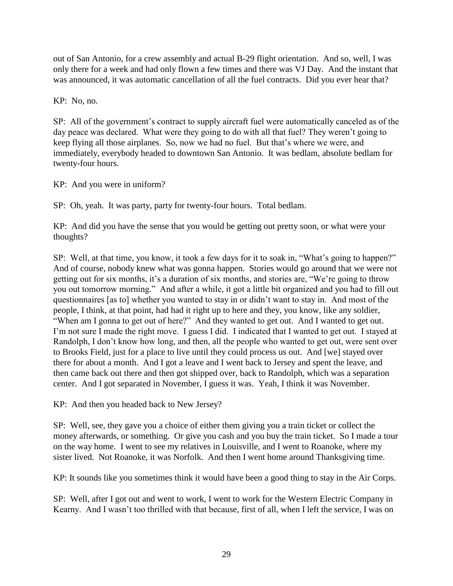out of San Antonio, for a crew assembly and actual B-29 flight orientation. And so, well, I was only there for a week and had only flown a few times and there was VJ Day. And the instant that was announced, it was automatic cancellation of all the fuel contracts. Did you ever hear that?

KP: No, no.

SP: All of the government's contract to supply aircraft fuel were automatically canceled as of the day peace was declared. What were they going to do with all that fuel? They weren't going to keep flying all those airplanes. So, now we had no fuel. But that's where we were, and immediately, everybody headed to downtown San Antonio. It was bedlam, absolute bedlam for twenty-four hours.

KP: And you were in uniform?

SP: Oh, yeah. It was party, party for twenty-four hours. Total bedlam.

KP: And did you have the sense that you would be getting out pretty soon, or what were your thoughts?

SP: Well, at that time, you know, it took a few days for it to soak in, "What's going to happen?" And of course, nobody knew what was gonna happen. Stories would go around that we were not getting out for six months, it's a duration of six months, and stories are, "We're going to throw you out tomorrow morning." And after a while, it got a little bit organized and you had to fill out questionnaires [as to] whether you wanted to stay in or didn't want to stay in. And most of the people, I think, at that point, had had it right up to here and they, you know, like any soldier, "When am I gonna to get out of here?" And they wanted to get out. And I wanted to get out. I'm not sure I made the right move. I guess I did. I indicated that I wanted to get out. I stayed at Randolph, I don't know how long, and then, all the people who wanted to get out, were sent over to Brooks Field, just for a place to live until they could process us out. And [we] stayed over there for about a month. And I got a leave and I went back to Jersey and spent the leave, and then came back out there and then got shipped over, back to Randolph, which was a separation center. And I got separated in November, I guess it was. Yeah, I think it was November.

KP: And then you headed back to New Jersey?

SP: Well, see, they gave you a choice of either them giving you a train ticket or collect the money afterwards, or something. Or give you cash and you buy the train ticket. So I made a tour on the way home. I went to see my relatives in Louisville, and I went to Roanoke, where my sister lived. Not Roanoke, it was Norfolk. And then I went home around Thanksgiving time.

KP: It sounds like you sometimes think it would have been a good thing to stay in the Air Corps.

SP: Well, after I got out and went to work, I went to work for the Western Electric Company in Kearny. And I wasn't too thrilled with that because, first of all, when I left the service, I was on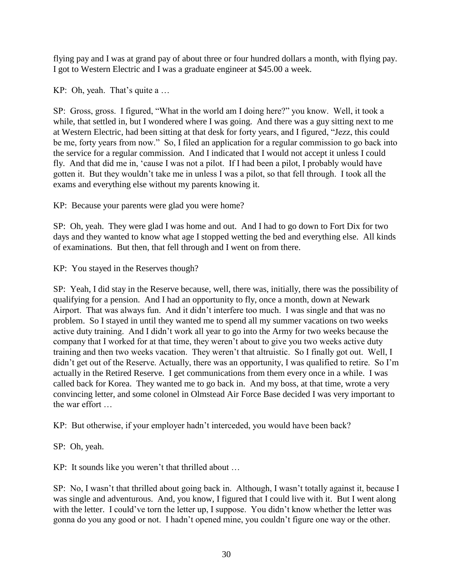flying pay and I was at grand pay of about three or four hundred dollars a month, with flying pay. I got to Western Electric and I was a graduate engineer at \$45.00 a week.

KP: Oh, yeah. That's quite a …

SP: Gross, gross. I figured, "What in the world am I doing here?" you know. Well, it took a while, that settled in, but I wondered where I was going. And there was a guy sitting next to me at Western Electric, had been sitting at that desk for forty years, and I figured, "Jezz, this could be me, forty years from now." So, I filed an application for a regular commission to go back into the service for a regular commission. And I indicated that I would not accept it unless I could fly. And that did me in, 'cause I was not a pilot. If I had been a pilot, I probably would have gotten it. But they wouldn't take me in unless I was a pilot, so that fell through. I took all the exams and everything else without my parents knowing it.

KP: Because your parents were glad you were home?

SP: Oh, yeah. They were glad I was home and out. And I had to go down to Fort Dix for two days and they wanted to know what age I stopped wetting the bed and everything else. All kinds of examinations. But then, that fell through and I went on from there.

KP: You stayed in the Reserves though?

SP: Yeah, I did stay in the Reserve because, well, there was, initially, there was the possibility of qualifying for a pension. And I had an opportunity to fly, once a month, down at Newark Airport. That was always fun. And it didn't interfere too much. I was single and that was no problem. So I stayed in until they wanted me to spend all my summer vacations on two weeks active duty training. And I didn't work all year to go into the Army for two weeks because the company that I worked for at that time, they weren't about to give you two weeks active duty training and then two weeks vacation. They weren't that altruistic. So I finally got out. Well, I didn't get out of the Reserve. Actually, there was an opportunity, I was qualified to retire. So I'm actually in the Retired Reserve. I get communications from them every once in a while. I was called back for Korea. They wanted me to go back in. And my boss, at that time, wrote a very convincing letter, and some colonel in Olmstead Air Force Base decided I was very important to the war effort

KP: But otherwise, if your employer hadn't interceded, you would have been back?

SP: Oh, yeah.

KP: It sounds like you weren't that thrilled about …

SP: No, I wasn't that thrilled about going back in. Although, I wasn't totally against it, because I was single and adventurous. And, you know, I figured that I could live with it. But I went along with the letter. I could've torn the letter up, I suppose. You didn't know whether the letter was gonna do you any good or not. I hadn't opened mine, you couldn't figure one way or the other.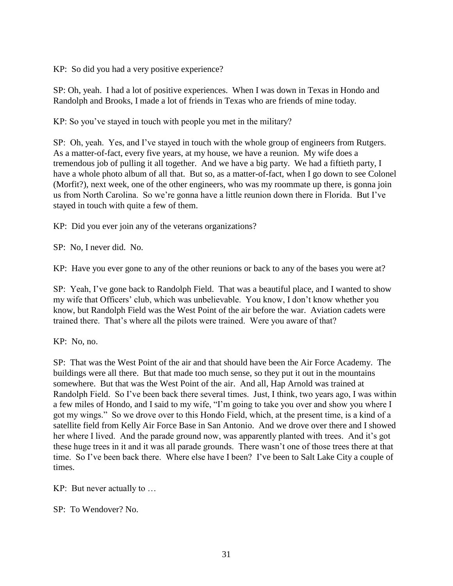KP: So did you had a very positive experience?

SP: Oh, yeah. I had a lot of positive experiences. When I was down in Texas in Hondo and Randolph and Brooks, I made a lot of friends in Texas who are friends of mine today.

KP: So you've stayed in touch with people you met in the military?

SP: Oh, yeah. Yes, and I've stayed in touch with the whole group of engineers from Rutgers. As a matter-of-fact, every five years, at my house, we have a reunion. My wife does a tremendous job of pulling it all together. And we have a big party. We had a fiftieth party, I have a whole photo album of all that. But so, as a matter-of-fact, when I go down to see Colonel (Morfit?), next week, one of the other engineers, who was my roommate up there, is gonna join us from North Carolina. So we're gonna have a little reunion down there in Florida. But I've stayed in touch with quite a few of them.

KP: Did you ever join any of the veterans organizations?

SP: No, I never did. No.

KP: Have you ever gone to any of the other reunions or back to any of the bases you were at?

SP: Yeah, I've gone back to Randolph Field. That was a beautiful place, and I wanted to show my wife that Officers' club, which was unbelievable. You know, I don't know whether you know, but Randolph Field was the West Point of the air before the war. Aviation cadets were trained there. That's where all the pilots were trained. Were you aware of that?

KP: No, no.

SP: That was the West Point of the air and that should have been the Air Force Academy. The buildings were all there. But that made too much sense, so they put it out in the mountains somewhere. But that was the West Point of the air. And all, Hap Arnold was trained at Randolph Field. So I've been back there several times. Just, I think, two years ago, I was within a few miles of Hondo, and I said to my wife, "I'm going to take you over and show you where I got my wings." So we drove over to this Hondo Field, which, at the present time, is a kind of a satellite field from Kelly Air Force Base in San Antonio. And we drove over there and I showed her where I lived. And the parade ground now, was apparently planted with trees. And it's got these huge trees in it and it was all parade grounds. There wasn't one of those trees there at that time. So I've been back there. Where else have I been? I've been to Salt Lake City a couple of times.

KP: But never actually to …

SP: To Wendover? No.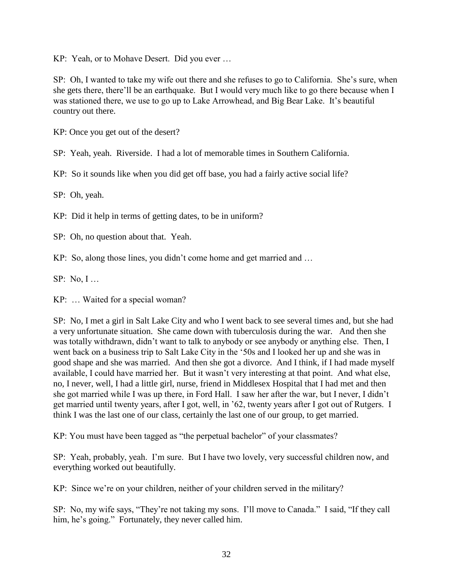KP: Yeah, or to Mohave Desert. Did you ever …

SP: Oh, I wanted to take my wife out there and she refuses to go to California. She's sure, when she gets there, there'll be an earthquake. But I would very much like to go there because when I was stationed there, we use to go up to Lake Arrowhead, and Big Bear Lake. It's beautiful country out there.

KP: Once you get out of the desert?

SP: Yeah, yeah. Riverside. I had a lot of memorable times in Southern California.

KP: So it sounds like when you did get off base, you had a fairly active social life?

SP: Oh, yeah.

KP: Did it help in terms of getting dates, to be in uniform?

SP: Oh, no question about that. Yeah.

KP: So, along those lines, you didn't come home and get married and …

SP: No, I …

KP: … Waited for a special woman?

SP: No, I met a girl in Salt Lake City and who I went back to see several times and, but she had a very unfortunate situation. She came down with tuberculosis during the war. And then she was totally withdrawn, didn't want to talk to anybody or see anybody or anything else. Then, I went back on a business trip to Salt Lake City in the '50s and I looked her up and she was in good shape and she was married. And then she got a divorce. And I think, if I had made myself available, I could have married her. But it wasn't very interesting at that point. And what else, no, I never, well, I had a little girl, nurse, friend in Middlesex Hospital that I had met and then she got married while I was up there, in Ford Hall. I saw her after the war, but I never, I didn't get married until twenty years, after I got, well, in '62, twenty years after I got out of Rutgers. I think I was the last one of our class, certainly the last one of our group, to get married.

KP: You must have been tagged as "the perpetual bachelor" of your classmates?

SP: Yeah, probably, yeah. I'm sure. But I have two lovely, very successful children now, and everything worked out beautifully.

KP: Since we're on your children, neither of your children served in the military?

SP: No, my wife says, "They're not taking my sons. I'll move to Canada." I said, "If they call him, he's going." Fortunately, they never called him.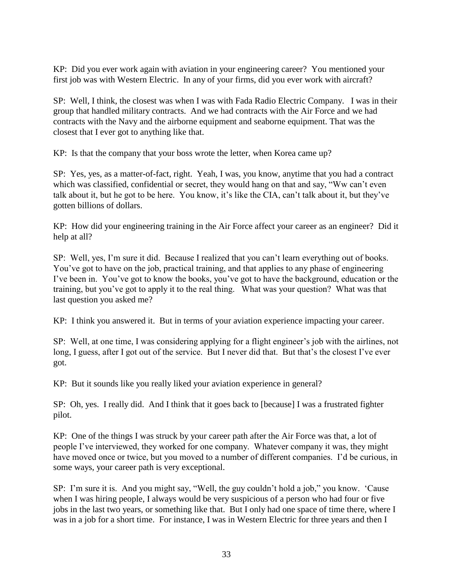KP: Did you ever work again with aviation in your engineering career? You mentioned your first job was with Western Electric. In any of your firms, did you ever work with aircraft?

SP: Well, I think, the closest was when I was with Fada Radio Electric Company. I was in their group that handled military contracts. And we had contracts with the Air Force and we had contracts with the Navy and the airborne equipment and seaborne equipment. That was the closest that I ever got to anything like that.

KP: Is that the company that your boss wrote the letter, when Korea came up?

SP: Yes, yes, as a matter-of-fact, right. Yeah, I was, you know, anytime that you had a contract which was classified, confidential or secret, they would hang on that and say, "Ww can't even talk about it, but he got to be here. You know, it's like the CIA, can't talk about it, but they've gotten billions of dollars.

KP: How did your engineering training in the Air Force affect your career as an engineer? Did it help at all?

SP: Well, yes, I'm sure it did. Because I realized that you can't learn everything out of books. You've got to have on the job, practical training, and that applies to any phase of engineering I've been in. You've got to know the books, you've got to have the background, education or the training, but you've got to apply it to the real thing. What was your question? What was that last question you asked me?

KP: I think you answered it. But in terms of your aviation experience impacting your career.

SP: Well, at one time, I was considering applying for a flight engineer's job with the airlines, not long, I guess, after I got out of the service. But I never did that. But that's the closest I've ever got.

KP: But it sounds like you really liked your aviation experience in general?

SP: Oh, yes. I really did. And I think that it goes back to [because] I was a frustrated fighter pilot.

KP: One of the things I was struck by your career path after the Air Force was that, a lot of people I've interviewed, they worked for one company. Whatever company it was, they might have moved once or twice, but you moved to a number of different companies. I'd be curious, in some ways, your career path is very exceptional.

SP: I'm sure it is. And you might say, "Well, the guy couldn't hold a job," you know. 'Cause when I was hiring people, I always would be very suspicious of a person who had four or five jobs in the last two years, or something like that. But I only had one space of time there, where I was in a job for a short time. For instance, I was in Western Electric for three years and then I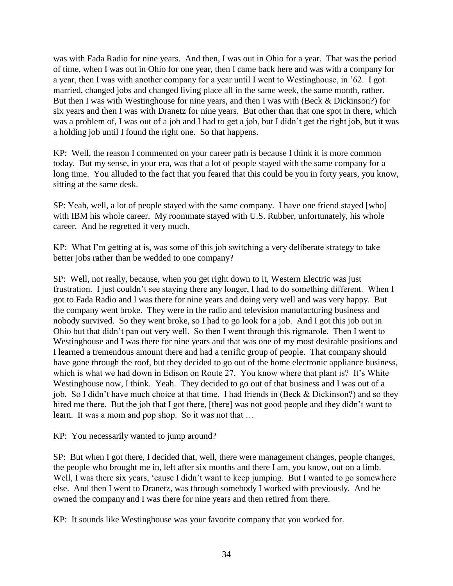was with Fada Radio for nine years. And then, I was out in Ohio for a year. That was the period of time, when I was out in Ohio for one year, then I came back here and was with a company for a year, then I was with another company for a year until I went to Westinghouse, in '62. I got married, changed jobs and changed living place all in the same week, the same month, rather. But then I was with Westinghouse for nine years, and then I was with (Beck & Dickinson?) for six years and then I was with Dranetz for nine years. But other than that one spot in there, which was a problem of, I was out of a job and I had to get a job, but I didn't get the right job, but it was a holding job until I found the right one. So that happens.

KP: Well, the reason I commented on your career path is because I think it is more common today. But my sense, in your era, was that a lot of people stayed with the same company for a long time. You alluded to the fact that you feared that this could be you in forty years, you know, sitting at the same desk.

SP: Yeah, well, a lot of people stayed with the same company. I have one friend stayed [who] with IBM his whole career. My roommate stayed with U.S. Rubber, unfortunately, his whole career. And he regretted it very much.

KP: What I'm getting at is, was some of this job switching a very deliberate strategy to take better jobs rather than be wedded to one company?

SP: Well, not really, because, when you get right down to it, Western Electric was just frustration. I just couldn't see staying there any longer, I had to do something different. When I got to Fada Radio and I was there for nine years and doing very well and was very happy. But the company went broke. They were in the radio and television manufacturing business and nobody survived. So they went broke, so I had to go look for a job. And I got this job out in Ohio but that didn't pan out very well. So then I went through this rigmarole. Then I went to Westinghouse and I was there for nine years and that was one of my most desirable positions and I learned a tremendous amount there and had a terrific group of people. That company should have gone through the roof, but they decided to go out of the home electronic appliance business, which is what we had down in Edison on Route 27. You know where that plant is? It's White Westinghouse now, I think. Yeah. They decided to go out of that business and I was out of a job. So I didn't have much choice at that time. I had friends in (Beck & Dickinson?) and so they hired me there. But the job that I got there, [there] was not good people and they didn't want to learn. It was a mom and pop shop. So it was not that …

KP: You necessarily wanted to jump around?

SP: But when I got there, I decided that, well, there were management changes, people changes, the people who brought me in, left after six months and there I am, you know, out on a limb. Well, I was there six years, 'cause I didn't want to keep jumping. But I wanted to go somewhere else. And then I went to Dranetz, was through somebody I worked with previously. And he owned the company and I was there for nine years and then retired from there.

KP: It sounds like Westinghouse was your favorite company that you worked for.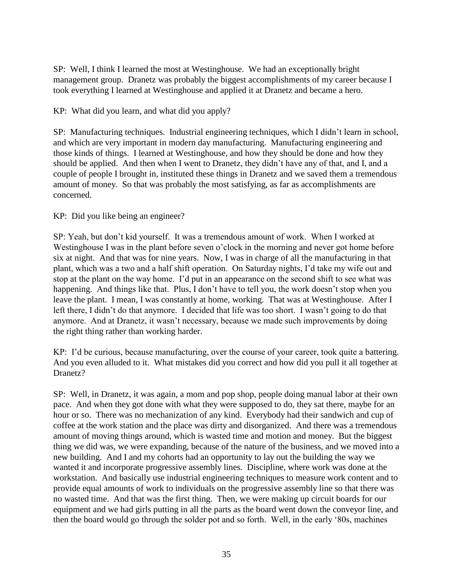SP: Well, I think I learned the most at Westinghouse. We had an exceptionally bright management group. Dranetz was probably the biggest accomplishments of my career because I took everything I learned at Westinghouse and applied it at Dranetz and became a hero.

KP: What did you learn, and what did you apply?

SP: Manufacturing techniques. Industrial engineering techniques, which I didn't learn in school, and which are very important in modern day manufacturing. Manufacturing engineering and those kinds of things. I learned at Westinghouse, and how they should be done and how they should be applied. And then when I went to Dranetz, they didn't have any of that, and I, and a couple of people I brought in, instituted these things in Dranetz and we saved them a tremendous amount of money. So that was probably the most satisfying, as far as accomplishments are concerned.

## KP: Did you like being an engineer?

SP: Yeah, but don't kid yourself. It was a tremendous amount of work. When I worked at Westinghouse I was in the plant before seven o'clock in the morning and never got home before six at night. And that was for nine years. Now, I was in charge of all the manufacturing in that plant, which was a two and a half shift operation. On Saturday nights, I'd take my wife out and stop at the plant on the way home. I'd put in an appearance on the second shift to see what was happening. And things like that. Plus, I don't have to tell you, the work doesn't stop when you leave the plant. I mean, I was constantly at home, working. That was at Westinghouse. After I left there, I didn't do that anymore. I decided that life was too short. I wasn't going to do that anymore. And at Dranetz, it wasn't necessary, because we made such improvements by doing the right thing rather than working harder.

KP: I'd be curious, because manufacturing, over the course of your career, took quite a battering. And you even alluded to it. What mistakes did you correct and how did you pull it all together at Dranetz?

SP: Well, in Dranetz, it was again, a mom and pop shop, people doing manual labor at their own pace. And when they got done with what they were supposed to do, they sat there, maybe for an hour or so. There was no mechanization of any kind. Everybody had their sandwich and cup of coffee at the work station and the place was dirty and disorganized. And there was a tremendous amount of moving things around, which is wasted time and motion and money. But the biggest thing we did was, we were expanding, because of the nature of the business, and we moved into a new building. And I and my cohorts had an opportunity to lay out the building the way we wanted it and incorporate progressive assembly lines. Discipline, where work was done at the workstation. And basically use industrial engineering techniques to measure work content and to provide equal amounts of work to individuals on the progressive assembly line so that there was no wasted time. And that was the first thing. Then, we were making up circuit boards for our equipment and we had girls putting in all the parts as the board went down the conveyor line, and then the board would go through the solder pot and so forth. Well, in the early '80s, machines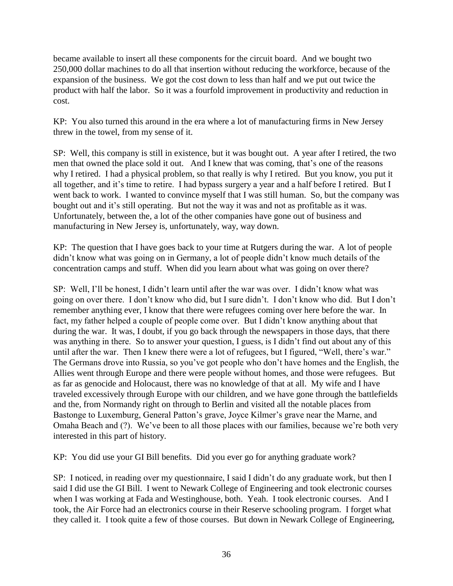became available to insert all these components for the circuit board. And we bought two 250,000 dollar machines to do all that insertion without reducing the workforce, because of the expansion of the business. We got the cost down to less than half and we put out twice the product with half the labor. So it was a fourfold improvement in productivity and reduction in cost.

KP: You also turned this around in the era where a lot of manufacturing firms in New Jersey threw in the towel, from my sense of it.

SP: Well, this company is still in existence, but it was bought out. A year after I retired, the two men that owned the place sold it out. And I knew that was coming, that's one of the reasons why I retired. I had a physical problem, so that really is why I retired. But you know, you put it all together, and it's time to retire. I had bypass surgery a year and a half before I retired. But I went back to work. I wanted to convince myself that I was still human. So, but the company was bought out and it's still operating. But not the way it was and not as profitable as it was. Unfortunately, between the, a lot of the other companies have gone out of business and manufacturing in New Jersey is, unfortunately, way, way down.

KP: The question that I have goes back to your time at Rutgers during the war. A lot of people didn't know what was going on in Germany, a lot of people didn't know much details of the concentration camps and stuff. When did you learn about what was going on over there?

SP: Well, I'll be honest, I didn't learn until after the war was over. I didn't know what was going on over there. I don't know who did, but I sure didn't. I don't know who did. But I don't remember anything ever, I know that there were refugees coming over here before the war. In fact, my father helped a couple of people come over. But I didn't know anything about that during the war. It was, I doubt, if you go back through the newspapers in those days, that there was anything in there. So to answer your question, I guess, is I didn't find out about any of this until after the war. Then I knew there were a lot of refugees, but I figured, "Well, there's war." The Germans drove into Russia, so you've got people who don't have homes and the English, the Allies went through Europe and there were people without homes, and those were refugees. But as far as genocide and Holocaust, there was no knowledge of that at all. My wife and I have traveled excessively through Europe with our children, and we have gone through the battlefields and the, from Normandy right on through to Berlin and visited all the notable places from Bastonge to Luxemburg, General Patton's grave, Joyce Kilmer's grave near the Marne, and Omaha Beach and (?). We've been to all those places with our families, because we're both very interested in this part of history.

KP: You did use your GI Bill benefits. Did you ever go for anything graduate work?

SP: I noticed, in reading over my questionnaire, I said I didn't do any graduate work, but then I said I did use the GI Bill. I went to Newark College of Engineering and took electronic courses when I was working at Fada and Westinghouse, both. Yeah. I took electronic courses. And I took, the Air Force had an electronics course in their Reserve schooling program. I forget what they called it. I took quite a few of those courses. But down in Newark College of Engineering,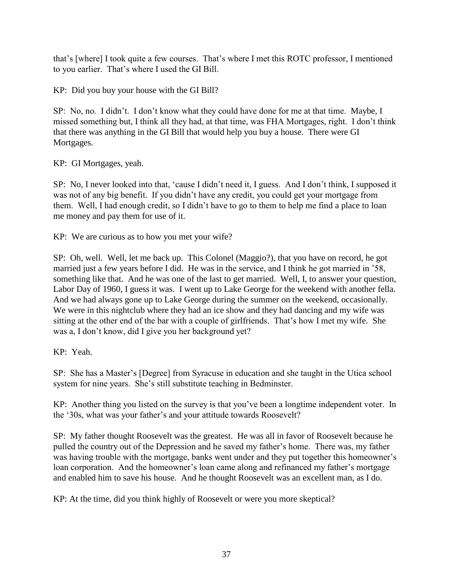that's [where] I took quite a few courses. That's where I met this ROTC professor, I mentioned to you earlier. That's where I used the GI Bill.

KP: Did you buy your house with the GI Bill?

SP: No, no. I didn't. I don't know what they could have done for me at that time. Maybe, I missed something but, I think all they had, at that time, was FHA Mortgages, right. I don't think that there was anything in the GI Bill that would help you buy a house. There were GI Mortgages.

KP: GI Mortgages, yeah.

SP: No, I never looked into that, 'cause I didn't need it, I guess. And I don't think, I supposed it was not of any big benefit. If you didn't have any credit, you could get your mortgage from them. Well, I had enough credit, so I didn't have to go to them to help me find a place to loan me money and pay them for use of it.

KP: We are curious as to how you met your wife?

SP: Oh, well. Well, let me back up. This Colonel (Maggio?), that you have on record, he got married just a few years before I did. He was in the service, and I think he got married in '58, something like that. And he was one of the last to get married. Well, I, to answer your question, Labor Day of 1960, I guess it was. I went up to Lake George for the weekend with another fella. And we had always gone up to Lake George during the summer on the weekend, occasionally. We were in this nightclub where they had an ice show and they had dancing and my wife was sitting at the other end of the bar with a couple of girlfriends. That's how I met my wife. She was a, I don't know, did I give you her background yet?

# KP: Yeah.

SP: She has a Master's [Degree] from Syracuse in education and she taught in the Utica school system for nine years. She's still substitute teaching in Bedminster.

KP: Another thing you listed on the survey is that you've been a longtime independent voter. In the '30s, what was your father's and your attitude towards Roosevelt?

SP: My father thought Roosevelt was the greatest. He was all in favor of Roosevelt because he pulled the country out of the Depression and he saved my father's home. There was, my father was having trouble with the mortgage, banks went under and they put together this homeowner's loan corporation. And the homeowner's loan came along and refinanced my father's mortgage and enabled him to save his house. And he thought Roosevelt was an excellent man, as I do.

KP: At the time, did you think highly of Roosevelt or were you more skeptical?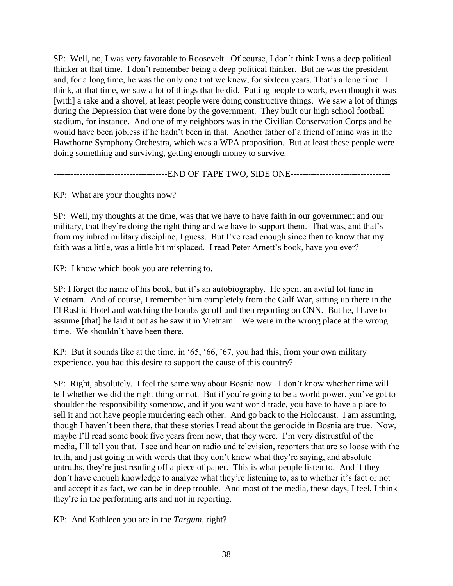SP: Well, no, I was very favorable to Roosevelt. Of course, I don't think I was a deep political thinker at that time. I don't remember being a deep political thinker. But he was the president and, for a long time, he was the only one that we knew, for sixteen years. That's a long time. I think, at that time, we saw a lot of things that he did. Putting people to work, even though it was [with] a rake and a shovel, at least people were doing constructive things. We saw a lot of things during the Depression that were done by the government. They built our high school football stadium, for instance. And one of my neighbors was in the Civilian Conservation Corps and he would have been jobless if he hadn't been in that. Another father of a friend of mine was in the Hawthorne Symphony Orchestra, which was a WPA proposition. But at least these people were doing something and surviving, getting enough money to survive.

-------------------------END OF TAPE TWO, SIDE ONE----------------------------------

KP: What are your thoughts now?

SP: Well, my thoughts at the time, was that we have to have faith in our government and our military, that they're doing the right thing and we have to support them. That was, and that's from my inbred military discipline, I guess. But I've read enough since then to know that my faith was a little, was a little bit misplaced. I read Peter Arnett's book, have you ever?

KP: I know which book you are referring to.

SP: I forget the name of his book, but it's an autobiography. He spent an awful lot time in Vietnam. And of course, I remember him completely from the Gulf War, sitting up there in the El Rashid Hotel and watching the bombs go off and then reporting on CNN. But he, I have to assume [that] he laid it out as he saw it in Vietnam. We were in the wrong place at the wrong time. We shouldn't have been there.

KP: But it sounds like at the time, in '65, '66, '67, you had this, from your own military experience, you had this desire to support the cause of this country?

SP: Right, absolutely. I feel the same way about Bosnia now. I don't know whether time will tell whether we did the right thing or not. But if you're going to be a world power, you've got to shoulder the responsibility somehow, and if you want world trade, you have to have a place to sell it and not have people murdering each other. And go back to the Holocaust. I am assuming, though I haven't been there, that these stories I read about the genocide in Bosnia are true. Now, maybe I'll read some book five years from now, that they were. I'm very distrustful of the media, I'll tell you that. I see and hear on radio and television, reporters that are so loose with the truth, and just going in with words that they don't know what they're saying, and absolute untruths, they're just reading off a piece of paper. This is what people listen to. And if they don't have enough knowledge to analyze what they're listening to, as to whether it's fact or not and accept it as fact, we can be in deep trouble. And most of the media, these days, I feel, I think they're in the performing arts and not in reporting.

KP: And Kathleen you are in the *Targum*, right?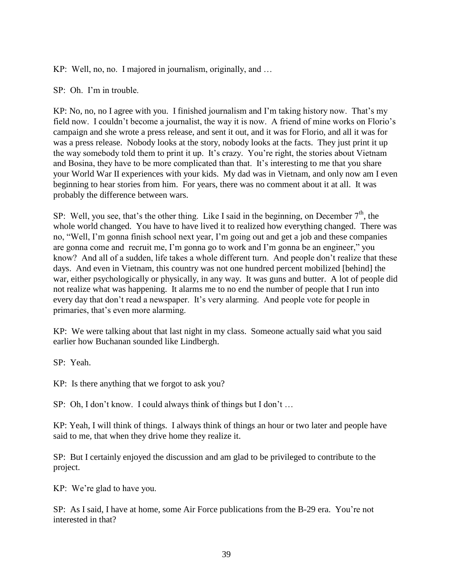KP: Well, no, no. I majored in journalism, originally, and …

SP: Oh. I'm in trouble.

KP: No, no, no I agree with you. I finished journalism and I'm taking history now. That's my field now. I couldn't become a journalist, the way it is now. A friend of mine works on Florio's campaign and she wrote a press release, and sent it out, and it was for Florio, and all it was for was a press release. Nobody looks at the story, nobody looks at the facts. They just print it up the way somebody told them to print it up. It's crazy. You're right, the stories about Vietnam and Bosina, they have to be more complicated than that. It's interesting to me that you share your World War II experiences with your kids. My dad was in Vietnam, and only now am I even beginning to hear stories from him. For years, there was no comment about it at all. It was probably the difference between wars.

SP: Well, you see, that's the other thing. Like I said in the beginning, on December  $7<sup>th</sup>$ , the whole world changed. You have to have lived it to realized how everything changed. There was no, "Well, I'm gonna finish school next year, I'm going out and get a job and these companies are gonna come and recruit me, I'm gonna go to work and I'm gonna be an engineer," you know? And all of a sudden, life takes a whole different turn. And people don't realize that these days. And even in Vietnam, this country was not one hundred percent mobilized [behind] the war, either psychologically or physically, in any way. It was guns and butter. A lot of people did not realize what was happening. It alarms me to no end the number of people that I run into every day that don't read a newspaper. It's very alarming. And people vote for people in primaries, that's even more alarming.

KP: We were talking about that last night in my class. Someone actually said what you said earlier how Buchanan sounded like Lindbergh.

SP: Yeah.

KP: Is there anything that we forgot to ask you?

SP: Oh, I don't know. I could always think of things but I don't ...

KP: Yeah, I will think of things. I always think of things an hour or two later and people have said to me, that when they drive home they realize it.

SP: But I certainly enjoyed the discussion and am glad to be privileged to contribute to the project.

KP: We're glad to have you.

SP: As I said, I have at home, some Air Force publications from the B-29 era. You're not interested in that?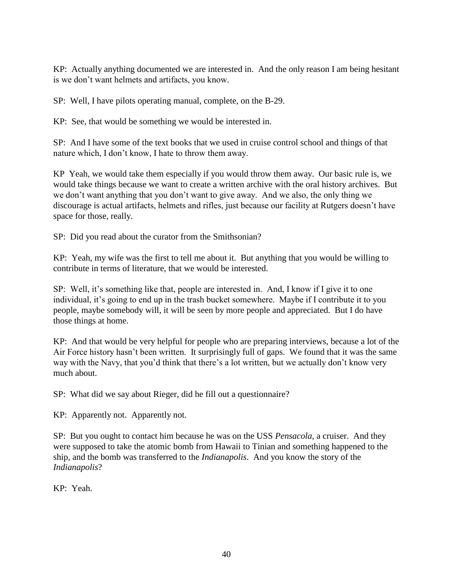KP: Actually anything documented we are interested in. And the only reason I am being hesitant is we don't want helmets and artifacts, you know.

SP: Well, I have pilots operating manual, complete, on the B-29.

KP: See, that would be something we would be interested in.

SP: And I have some of the text books that we used in cruise control school and things of that nature which, I don't know, I hate to throw them away.

KP Yeah, we would take them especially if you would throw them away. Our basic rule is, we would take things because we want to create a written archive with the oral history archives. But we don't want anything that you don't want to give away. And we also, the only thing we discourage is actual artifacts, helmets and rifles, just because our facility at Rutgers doesn't have space for those, really.

SP: Did you read about the curator from the Smithsonian?

KP: Yeah, my wife was the first to tell me about it. But anything that you would be willing to contribute in terms of literature, that we would be interested.

SP: Well, it's something like that, people are interested in. And, I know if I give it to one individual, it's going to end up in the trash bucket somewhere. Maybe if I contribute it to you people, maybe somebody will, it will be seen by more people and appreciated. But I do have those things at home.

KP: And that would be very helpful for people who are preparing interviews, because a lot of the Air Force history hasn't been written. It surprisingly full of gaps. We found that it was the same way with the Navy, that you'd think that there's a lot written, but we actually don't know very much about.

SP: What did we say about Rieger, did he fill out a questionnaire?

KP: Apparently not. Apparently not.

SP: But you ought to contact him because he was on the USS *Pensacola*, a cruiser. And they were supposed to take the atomic bomb from Hawaii to Tinian and something happened to the ship, and the bomb was transferred to the *Indianapolis*. And you know the story of the *Indianapolis*?

KP: Yeah.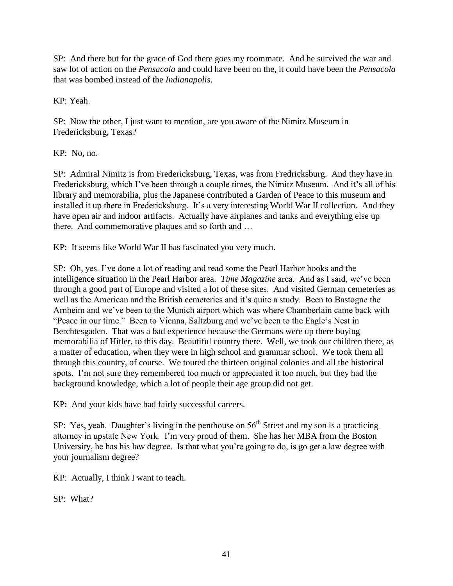SP: And there but for the grace of God there goes my roommate. And he survived the war and saw lot of action on the *Pensacola* and could have been on the, it could have been the *Pensacola* that was bombed instead of the *Indianapolis*.

KP: Yeah.

SP: Now the other, I just want to mention, are you aware of the Nimitz Museum in Fredericksburg, Texas?

KP: No, no.

SP: Admiral Nimitz is from Fredericksburg, Texas, was from Fredricksburg. And they have in Fredericksburg, which I've been through a couple times, the Nimitz Museum. And it's all of his library and memorabilia, plus the Japanese contributed a Garden of Peace to this museum and installed it up there in Fredericksburg. It's a very interesting World War II collection. And they have open air and indoor artifacts. Actually have airplanes and tanks and everything else up there. And commemorative plaques and so forth and …

KP: It seems like World War II has fascinated you very much.

SP: Oh, yes. I've done a lot of reading and read some the Pearl Harbor books and the intelligence situation in the Pearl Harbor area. *Time Magazine* area. And as I said, we've been through a good part of Europe and visited a lot of these sites. And visited German cemeteries as well as the American and the British cemeteries and it's quite a study. Been to Bastogne the Arnheim and we've been to the Munich airport which was where Chamberlain came back with "Peace in our time." Been to Vienna, Saltzburg and we've been to the Eagle's Nest in Berchtesgaden. That was a bad experience because the Germans were up there buying memorabilia of Hitler, to this day. Beautiful country there. Well, we took our children there, as a matter of education, when they were in high school and grammar school. We took them all through this country, of course. We toured the thirteen original colonies and all the historical spots. I'm not sure they remembered too much or appreciated it too much, but they had the background knowledge, which a lot of people their age group did not get.

KP: And your kids have had fairly successful careers.

SP: Yes, yeah. Daughter's living in the penthouse on  $56<sup>th</sup>$  Street and my son is a practicing attorney in upstate New York. I'm very proud of them. She has her MBA from the Boston University, he has his law degree. Is that what you're going to do, is go get a law degree with your journalism degree?

KP: Actually, I think I want to teach.

SP: What?